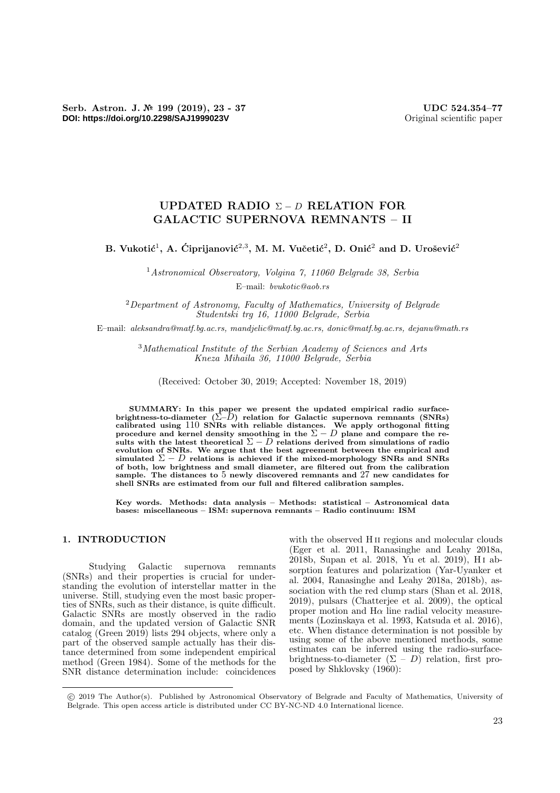# UPDATED RADIO  $\Sigma - D$  RELATION FOR GALACTIC SUPERNOVA REMNANTS – II

B. Vukotić<sup>1</sup>, A. Ćiprijanović<sup>2,3</sup>, M. M. Vučetić<sup>2</sup>, D. Onić<sup>2</sup> and D. Urošević<sup>2</sup>

<sup>1</sup>Astronomical Observatory, Volgina 7, 11060 Belgrade 38, Serbia E–mail: bvukotic@aob.rs

 $2$ Department of Astronomy, Faculty of Mathematics, University of Belgrade Studentski trg 16, 11000 Belgrade, Serbia

E–mail: aleksandra@matf.bg.ac.rs, mandjelic@matf.bg.ac.rs, donic@matf.bg.ac.rs, dejanu@math.rs

<sup>3</sup>Mathematical Institute of the Serbian Academy of Sciences and Arts Kneza Mihaila 36, 11000 Belgrade, Serbia

(Received: October 30, 2019; Accepted: November 18, 2019)

SUMMARY: In this paper we present the updated empirical radio surface-<br>brightness-to-diameter  $(\Sigma - D)$  relation for Galactic supernova remnants (SNRs) calibrated using  $110$  SNRs with reliable distances. We apply orthogonal fitting procedure and kernel density smoothing in the  $\Sigma - D$  plane and compare the results with the latest theoretical  $\Sigma - D$  relations derived from simulations of radio evolution of SNRs. We argue that the best agreement between the empirical and simulated  $\Sigma - D$  relations is achieved if the mixed-morphology SNRs and SNRs of both, low brightness and small diameter, are filtered out from the calibration sample. The distances to 5 newly discovered remnants and 27 new candidates for shell SNRs are estimated from our full and filtered calibration samples.

Key words. Methods: data analysis – Methods: statistical – Astronomical data bases: miscellaneous – ISM: supernova remnants – Radio continuum: ISM

# 1. INTRODUCTION

Studying Galactic supernova remnants (SNRs) and their properties is crucial for understanding the evolution of interstellar matter in the universe. Still, studying even the most basic properties of SNRs, such as their distance, is quite difficult. Galactic SNRs are mostly observed in the radio domain, and the updated version of Galactic SNR catalog (Green 2019) lists 294 objects, where only a part of the observed sample actually has their distance determined from some independent empirical method (Green 1984). Some of the methods for the SNR distance determination include: coincidences

with the observed H<sub>II</sub> regions and molecular clouds (Eger et al. 2011, Ranasinghe and Leahy 2018a, 2018b, Supan et al. 2018, Yu et al. 2019), H i absorption features and polarization (Yar-Uyanker et al. 2004, Ranasinghe and Leahy 2018a, 2018b), association with the red clump stars (Shan et al. 2018, 2019), pulsars (Chatterjee et al. 2009), the optical proper motion and  $H\alpha$  line radial velocity measurements (Lozinskaya et al. 1993, Katsuda et al. 2016), etc. When distance determination is not possible by using some of the above mentioned methods, some estimates can be inferred using the radio-surfacebrightness-to-diameter  $(\Sigma - D)$  relation, first proposed by Shklovsky (1960):

<sup>°</sup>c 2019 The Author(s). Published by Astronomical Observatory of Belgrade and Faculty of Mathematics, University of Belgrade. This open access article is distributed under CC BY-NC-ND 4.0 International licence.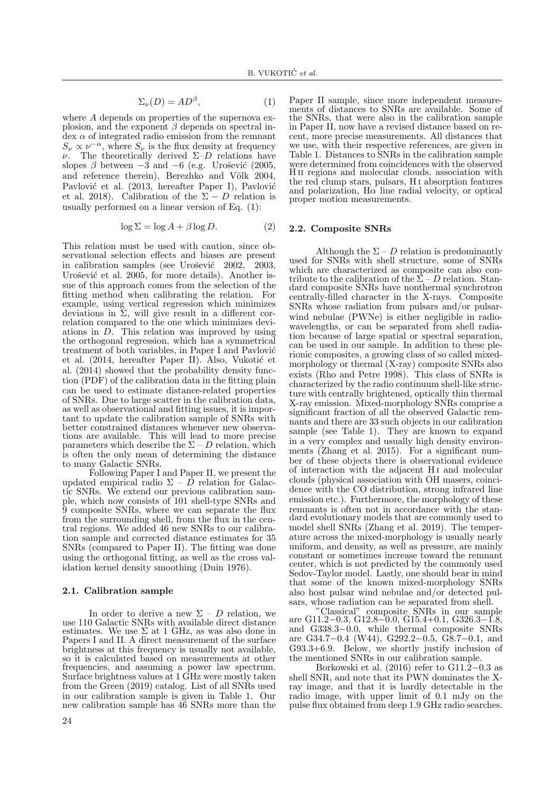$$
\Sigma_{\nu}(D) = AD^{\beta},\tag{1}
$$

where A depends on properties of the supernova explosion, and the exponent  $\beta$  depends on spectral in- $\gamma$  dex  $\alpha$  of integrated radio emission from the remnant  $S_{\nu} \propto \nu^{-\alpha}$ , where  $S_{\nu}$  is the flux density at frequency ν. The theoretically derived Σ–D relations have slopes  $\beta$  between  $-3$  and  $-6$  (e.g. Urošević (2005, and reference therein), Berezhko and Völk 2004, Pavlović et al. (2013, hereafter Paper I), Pavlović et al. 2018). Calibration of the  $\Sigma - D$  relation is usually performed on a linear version of Eq. (1):

$$
\log \Sigma = \log A + \beta \log D. \tag{2}
$$

This relation must be used with caution, since observational selection effects and biases are present in calibration samples (see Urošević 2002, 2003, Urošević et al. 2005, for more details). Another issue of this approach comes from the selection of the fitting method when calibrating the relation. For example, using vertical regression which minimizes deviations in  $\Sigma$ , will give result in a different correlation compared to the one which minimizes deviations in  $D$ . This relation was improved by using the orthogonal regression, which has a symmetrical treatment of both variables, in Paper I and Pavlović et al. (2014, hereafter Paper II). Also, Vukotić et al. (2014) showed that the probability density function (PDF) of the calibration data in the fitting plain can be used to estimate distance-related properties of SNRs. Due to large scatter in the calibration data, as well as observational and fitting issues, it is important to update the calibration sample of SNRs with better constrained distances whenever new observations are available. This will lead to more precise parameters which describe the  $\Sigma - D$  relation, which is often the only mean of determining the distance to many Galactic SNRs.

Following Paper I and Paper II, we present the updated empirical radio  $\Sigma - \overline{D}$  relation for Galactic SNRs. We extend our previous calibration sample, which now consists of 101 shell-type SNRs and 9 composite SNRs, where we can separate the flux from the surrounding shell, from the flux in the central regions. We added 46 new SNRs to our calibration sample and corrected distance estimates for 35 SNRs (compared to Paper II). The fitting was done using the orthogonal fitting, as well as the cross validation kernel density smoothing (Duin 1976).

### 2.1. Calibration sample

In order to derive a new  $\Sigma - D$  relation, we use 110 Galactic SNRs with available direct distance estimates. We use  $\Sigma$  at 1 GHz, as was also done in Papers I and II. A direct measurement of the surface brightness at this frequency is usually not available, so it is calculated based on measurements at other frequencies, and assuming a power law spectrum. Surface brightness values at 1 GHz were mostly taken from the Green (2019) catalog. List of all SNRs used in our calibration sample is given in Table 1. Our new calibration sample has 46 SNRs more than the

Paper II sample, since more independent measurements of distances to SNRs are available. Some of the SNRs, that were also in the calibration sample in Paper II, now have a revised distance based on recent, more precise measurements. All distances that we use, with their respective references, are given in Table 1. Distances to SNRs in the calibration sample were determined from coincidences with the observed H ii regions and molecular clouds, association with the red clump stars, pulsars, H i absorption features and polarization,  $H\alpha$  line radial velocity, or optical proper motion measurements.

#### 2.2. Composite SNRs

Although the  $\Sigma - D$  relation is predominantly used for SNRs with shell structure, some of SNRs which are characterized as composite can also contribute to the calibration of the  $\Sigma - D$  relation. Standard composite SNRs have nonthermal synchrotron centrally-filled character in the X-rays. Composite SNRs whose radiation from pulsars and/or pulsarwind nebulae (PWNe) is either negligible in radiowavelengths, or can be separated from shell radiation because of large spatial or spectral separation, can be used in our sample. In addition to these plerionic composites, a growing class of so called mixedmorphology or thermal (X-ray) composite SNRs also exists (Rho and Petre 1998). This class of SNRs is characterized by the radio continuum shell-like structure with centrally brightened, optically thin thermal X-ray emission. Mixed-morphology SNRs comprise a significant fraction of all the observed Galactic remnants and there are 33 such objects in our calibration sample (see Table 1). They are known to expand in a very complex and usually high density environments (Zhang et al. 2015). For a significant number of these objects there is observational evidence of interaction with the adjacent H<sub>I</sub> and molecular clouds (physical association with OH masers, coincidence with the CO distribution, strong infrared line emission etc.). Furthermore, the morphology of these remnants is often not in accordance with the standard evolutionary models that are commonly used to model shell SNRs (Zhang et al. 2019). The temperature across the mixed-morphology is usually nearly uniform, and density, as well as pressure, are mainly constant or sometimes increase toward the remnant center, which is not predicted by the commonly used Sedov-Taylor model. Lastly, one should bear in mind that some of the known mixed-morphology SNRs also host pulsar wind nebulae and/or detected pulsars, whose radiation can be separated from shell.

"Classical" composite SNRs in our sample are G11.2−0.3, G12.8−0.0, G15.4+0.1, G326.3−1.8, and G338.3−0.0, while thermal composite SNRs are G34.7−0.4 (W44), G292.2−0.5, G8.7−0.1, and G93.3+6.9. Below, we shortly justify inclusion of the mentioned SNRs in our calibration sample.

Borkowski et al. (2016) refer to G11.2−0.3 as shell SNR, and note that its PWN dominates the Xray image, and that it is hardly detectable in the radio image, with upper limit of 0.1 mJy on the pulse flux obtained from deep 1.9 GHz radio searches.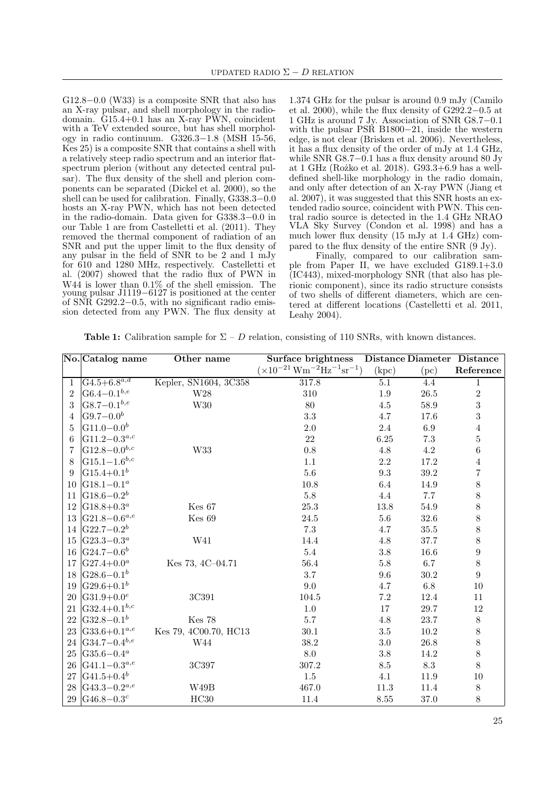G12.8−0.0 (W33) is a composite SNR that also has an X-ray pulsar, and shell morphology in the radiodomain.  $G15.4+0.1$  has an X-ray PWN, coincident with a TeV extended source, but has shell morphology in radio continuum. G326.3−1.8 (MSH 15-56, Kes 25) is a composite SNR that contains a shell with a relatively steep radio spectrum and an interior flatspectrum plerion (without any detected central pulsar). The flux density of the shell and plerion components can be separated (Dickel et al. 2000), so the shell can be used for calibration. Finally, G338.3−0.0 hosts an X-ray PWN, which has not been detected in the radio-domain. Data given for G338.3−0.0 in our Table 1 are from Castelletti et al. (2011). They removed the thermal component of radiation of an SNR and put the upper limit to the flux density of any pulsar in the field of SNR to be 2 and 1 mJy for 610 and 1280 MHz, respectively. Castelletti et al. (2007) showed that the radio flux of PWN in W44 is lower than 0.1% of the shell emission. The young pulsar J1119−6127 is positioned at the center of SNR G292.2−0.5, with no significant radio emission detected from any PWN. The flux density at

1.374 GHz for the pulsar is around 0.9 mJy (Camilo et al. 2000), while the flux density of G292.2−0.5 at 1 GHz is around 7 Jy. Association of SNR G8.7−0.1 with the pulsar PSR B1800−21, inside the western edge, is not clear (Brisken et al. 2006). Nevertheless, it has a flux density of the order of mJy at 1.4 GHz, while SNR G8.7−0.1 has a flux density around 80 Jy at 1 GHz (Rożko et al. 2018). G93.3+6.9 has a welldefined shell-like morphology in the radio domain, and only after detection of an X-ray PWN (Jiang et al. 2007), it was suggested that this SNR hosts an extended radio source, coincident with PWN. This central radio source is detected in the 1.4 GHz NRAO VLA Sky Survey (Condon et al. 1998) and has a much lower flux density (15 mJy at 1.4 GHz) compared to the flux density of the entire SNR (9 Jy).

Finally, compared to our calibration sample from Paper II, we have excluded G189.1+3.0 (IC443), mixed-morphology SNR (that also has plerionic component), since its radio structure consists of two shells of different diameters, which are centered at different locations (Castelletti et al. 2011, Leahy 2004).

|  |  |  |  |  | <b>Table 1:</b> Calibration sample for $\Sigma - D$ relation, consisting of 110 SNRs, with known distances. |
|--|--|--|--|--|-------------------------------------------------------------------------------------------------------------|
|--|--|--|--|--|-------------------------------------------------------------------------------------------------------------|

|                | No. Catalog name      | Other name            | Surface brightness                                     |          | Distance Diameter Distance |                  |
|----------------|-----------------------|-----------------------|--------------------------------------------------------|----------|----------------------------|------------------|
|                |                       |                       | $(\times 10^{-21} \,\mathrm{Wm^{-2} Hz^{-1} sr^{-1}})$ | (kpc)    | (pc)                       | Reference        |
| 1              | $G4.5 + 6.8^{a,d}$    | Kepler, SN1604, 3C358 | 317.8                                                  | 5.1      | 4.4                        | $\mathbf 1$      |
| $\overline{2}$ | $ G6.4 - 0.1^{b,e} $  | W28                   | 310                                                    | $1.9\,$  | $26.5\,$                   | $\overline{2}$   |
| 3              | $ G8.7 - 0.1^{b,e} $  | W30                   | 80                                                     | $4.5\,$  | 58.9                       | $\boldsymbol{3}$ |
| 4              | $ G9.7 - 0.0^{b} $    |                       | 3.3                                                    | 4.7      | 17.6                       | 3                |
| 5              | $ G11.0-0.0^{b} $     |                       | 2.0                                                    | 2.4      | 6.9                        | $\overline{4}$   |
| 6              | $ G11.2-0.3^{a,c} $   |                       | 22                                                     | 6.25     | $7.3\,$                    | $\overline{5}$   |
| 7              | $ G12.8 - 0.0^{b,c} $ | W33                   | 0.8                                                    | 4.8      | $4.2\,$                    | $\,6$            |
| 8              | $ G15.1 - 1.6^{b,c} $ |                       | 1.1                                                    | $2.2\,$  | 17.2                       | $\overline{4}$   |
| 9              | $ G15.4+0.1^{b} $     |                       | $5.6\,$                                                | 9.3      | 39.2                       | $\overline{7}$   |
| 10             | $ G18.1 - 0.1^a$      |                       | $10.8\,$                                               | 6.4      | 14.9                       | 8                |
| 11             | $ G18.6 - 0.2^b $     |                       | $5.8\,$                                                | 4.4      | 7.7                        | 8                |
| 12             | $ G18.8+0.3^a$        | Kes <sub>67</sub>     | 25.3                                                   | $13.8\,$ | 54.9                       | 8                |
| 13             | $ G21.8 - 0.6^{a,e} $ | Kes 69                | 24.5                                                   | $5.6\,$  | 32.6                       | 8                |
| 14             | $ G22.7-0.2^{b} $     |                       | 7.3                                                    | 4.7      | $35.5\,$                   | 8                |
| 15             | $ G23.3 - 0.3^a$      | W41                   | 14.4                                                   | 4.8      | 37.7                       | 8                |
| 16             | $ G24.7-0.6^{b} $     |                       | $5.4\,$                                                | $3.8\,$  | 16.6                       | $\overline{9}$   |
| 17             | $G27.4+0.0^a$         | Kes 73, 4C-04.71      | 56.4                                                   | $5.8\,$  | 6.7                        | 8                |
| 18             | $ G28.6 - 0.1^{b} $   |                       | 3.7                                                    | 9.6      | 30.2                       | 9                |
| 19             | $ G29.6+0.1^{b}$      |                       | 9.0                                                    | 4.7      | $6.8\,$                    | 10               |
| 20             | $ G31.9+0.0^e$        | 3C391                 | 104.5                                                  | $7.2\,$  | 12.4                       | 11               |
| 21             | $ G32.4+0.1^{b,c} $   |                       | $1.0\,$                                                | 17       | 29.7                       | 12               |
| 22             | $ G32.8-0.1^{b} $     | <b>Kes 78</b>         | $5.7\,$                                                | $4.8\,$  | 23.7                       | $8\,$            |
| 23             | $ G33.6+0.1^{a,e} $   | Kes 79, 4C00.70, HC13 | $30.1\,$                                               | $3.5\,$  | $10.2\,$                   | $8\,$            |
| 24             | $ G34.7 - 0.4^{b,e} $ | W44                   | 38.2                                                   | $3.0\,$  | 26.8                       | 8                |
| 25             | $ G35.6 - 0.4^a $     |                       | 8.0                                                    | $3.8\,$  | 14.2                       | 8                |
| 26             | $ G41.1 - 0.3^{a,e} $ | 3C397                 | 307.2                                                  | $8.5\,$  | 8.3                        | 8                |
| 27             | $ G41.5+0.4^{b} $     |                       | $1.5\,$                                                | 4.1      | 11.9                       | 10               |
| 28             | $ G43.3 - 0.2^{a,e} $ | W49B                  | 467.0                                                  | $11.3\,$ | 11.4                       | $8\,$            |
|                | 29 $ G46.8-0.3c$      | $\rm HC30$            | 11.4                                                   | 8.55     | $37.0\,$                   | $8\,$            |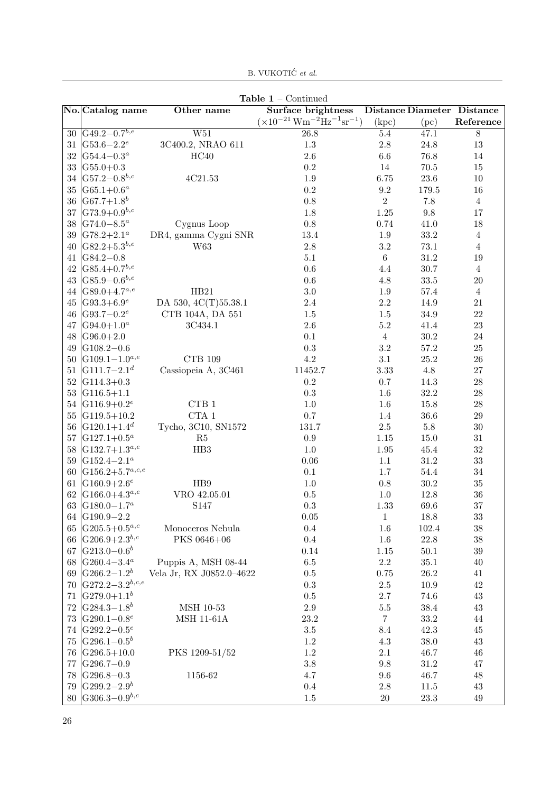| Table $1$ – Continued |                               |                          |                                                                           |                |                                   |                |  |  |  |
|-----------------------|-------------------------------|--------------------------|---------------------------------------------------------------------------|----------------|-----------------------------------|----------------|--|--|--|
|                       | No. Catalog name              | Other name               | <b>Surface brightness</b>                                                 |                | <b>Distance Diameter Distance</b> |                |  |  |  |
|                       |                               |                          | $(\times 10^{-21} \text{ W} \text{m}^{-2} \text{Hz}^{-1} \text{sr}^{-1})$ | (kpc)          | (pc)                              | Reference      |  |  |  |
| 30                    | $ G49.2 - 0.7^{b,e} $         | $\overline{W51}$         | 26.8                                                                      | $5.4\,$        | 47.1                              | $\overline{8}$ |  |  |  |
| $31\,$                | $ G53.6 - 2.2e $              | 3C400.2, NRAO 611        | $1.3\,$                                                                   | $2.8\,$        | $24.8\,$                          | 13             |  |  |  |
| $32\,$                | $G54.4 - 0.3a$                | HC40                     | $2.6\,$                                                                   | $6.6\,$        | 76.8                              | $14\,$         |  |  |  |
| $33\,$                | $ G55.0+0.3 $                 |                          | $\rm 0.2$                                                                 | $14\,$         | $70.5\,$                          | $15\,$         |  |  |  |
| $34\,$                | $ G57.2 - 0.8^{b,c} $         | 4C21.53                  | $1.9\,$                                                                   | 6.75           | $23.6\,$                          | $10\,$         |  |  |  |
| $35\,$                | $ G65.1+0.6^a $               |                          | $\rm 0.2$                                                                 | $\rm 9.2$      | $179.5\,$                         | 16             |  |  |  |
| $36\,$                | $ G67.7+1.8^{b} $             |                          | $0.8\,$                                                                   | $\,2$          | $7.8\,$                           | $\sqrt{4}$     |  |  |  |
| 37                    | $G73.9 + 0.9^{b,c}$           |                          | $1.8\,$                                                                   | $1.25\,$       | $\,9.8$                           | 17             |  |  |  |
| $38\,$                | $ G74.0 - 8.5^a $             | Cygnus Loop              | $0.8\,$                                                                   | 0.74           | 41.0                              | 18             |  |  |  |
| 39                    | $ G78.2+2.1^a$                | DR4, gamma Cygni SNR     | 13.4                                                                      | $1.9\,$        | $33.2\,$                          | $\sqrt{4}$     |  |  |  |
| 40                    | $\vert G82.2+5.3^{b,e} \vert$ | W63                      | $2.8\,$                                                                   | $3.2\,$        | $73.1\,$                          | $\sqrt{4}$     |  |  |  |
| 41                    | $ G84.2 - 0.8$                |                          | $5.1\,$                                                                   | $\,6\,$        | $31.2\,$                          | 19             |  |  |  |
| 42                    | $\sqrt{G85.4+0.7^{b,e}}$      |                          | $0.6\,$                                                                   | $4.4\,$        | $30.7\,$                          | $\sqrt{4}$     |  |  |  |
| $43\,$                | $ G85.9 - 0.6^{b,e} $         |                          | $0.6\,$                                                                   | $4.8\,$        | $33.5\,$                          | 20             |  |  |  |
| 44                    | $ G89.0+4.7^{a,e}$            | HB21                     | $3.0\,$                                                                   | $1.9\,$        | $57.4\,$                          | $\sqrt{4}$     |  |  |  |
| 45                    | $ G93.3+6.9^e $               | DA 530, 4C(T)55.38.1     | $2.4\,$                                                                   | $2.2\,$        | 14.9                              | 21             |  |  |  |
| 46                    | $ G93.7 - 0.2^e $             | CTB 104A, DA 551         | $1.5\,$                                                                   | $1.5\,$        | $34.9\,$                          | $22\,$         |  |  |  |
| 47                    | $ G94.0+1.0^{a} $             | 3C434.1                  | $2.6\,$                                                                   | $5.2\,$        | 41.4                              | $23\,$         |  |  |  |
| 48                    | $\vert G96.0 + 2.0 \vert$     |                          | $0.1\,$                                                                   | $\overline{4}$ | $30.2\,$                          | $24\,$         |  |  |  |
| 49                    | $ G108.2 - 0.6$               |                          | $\rm 0.3$                                                                 | $3.2\,$        | $57.2\,$                          | $25\,$         |  |  |  |
| 50                    | $ G109.1 - 1.0^{a,e} $        | CTB 109                  | $4.2\,$                                                                   | $3.1\,$        | $25.2\,$                          | $26\,$         |  |  |  |
| $51\,$                | $ G111.7 - 2.1d$              | Cassiopeia A, 3C461      | 11452.7                                                                   | $3.33\,$       | $4.8\,$                           | $27\,$         |  |  |  |
| $52\,$                | $ G114.3+0.3 $                |                          | $\rm 0.2$                                                                 | $0.7\,$        | $14.3\,$                          | $28\,$         |  |  |  |
| $53\,$                | $ G116.5+1.1$                 |                          | $\rm 0.3$                                                                 | 1.6            | $32.2\,$                          | $28\,$         |  |  |  |
| $54\,$                | $ G116.9+0.2^e$               | $\rm CTB$ $1$            | $1.0\,$                                                                   | $1.6\,$        | $15.8\,$                          | $28\,$         |  |  |  |
| $55\,$                | $ G119.5+10.2$                | $\rm CTA$ $1$            | $0.7\,$                                                                   | $1.4\,$        | $36.6\,$                          | $\,29$         |  |  |  |
| $56\,$                | $ G120.1+1.4^d$               | Tycho, 3C10, SN1572      | 131.7                                                                     | $2.5\,$        | $5.8\,$                           | $30\,$         |  |  |  |
| $57\,$                | $ G127.1+0.5^a$               | R5                       | $\rm 0.9$                                                                 | $1.15\,$       | $15.0\,$                          | $31\,$         |  |  |  |
| $58\,$                | $ G132.7+1.3^{a,e} $          | HB3                      | $1.0\,$                                                                   | $1.95\,$       | 45.4                              | $32\,$         |  |  |  |
| 59                    | $\vert G152.4 - 2.1^a \vert$  |                          | $0.06\,$                                                                  | $1.1\,$        | $31.2\,$                          | $33\,$         |  |  |  |
| 60                    | $ G156.2+5.7^{a,c,e}$         |                          | $0.1\,$                                                                   | 1.7            | $54.4\,$                          | $34\,$         |  |  |  |
| 61                    | $ G160.9+2.6^e$               | H <sub>B9</sub>          | $1.0\,$                                                                   | $0.8\,$        | $30.2\,$                          | $35\,$         |  |  |  |
| 62                    | $ G166.0+4.3^{a,e} $          | VRO 42.05.01             | $0.5\,$                                                                   | $1.0\,$        | 12.8                              | $36\,$         |  |  |  |
| 63                    | $ G180.0 - 1.7^a$             | S147                     | $\rm 0.3$                                                                 | 1.33           | 69.6                              | 37             |  |  |  |
|                       | 64 G190.9-2.2                 |                          | $0.05\,$                                                                  | 1              | $18.8\,$                          | $33\,$         |  |  |  |
| 65                    | $ G205.5+0.5^{a,c} $          | Monoceros Nebula         | $0.4\,$                                                                   | 1.6            | 102.4                             | $38\,$         |  |  |  |
| 66                    | G206.9+2.3 <sup>b,c</sup>     | PKS 0646+06              | $0.4\,$                                                                   | $1.6\,$        | $22.8\,$                          | $38\,$         |  |  |  |
| 67                    | $ G213.0-0.6^{b} $            |                          | 0.14                                                                      | 1.15           | $50.1\,$                          | $39\,$         |  |  |  |
| 68                    | $ G260.4 - 3.4^a$             | Puppis A, MSH 08-44      | $6.5\,$                                                                   | $2.2\,$        | $35.1\,$                          | $40\,$         |  |  |  |
| 69                    | $ G266.2 - 1.2^b $            | Vela Jr, RX J0852.0-4622 | $0.5\,$                                                                   | 0.75           | $26.2\,$                          | $41\,$         |  |  |  |
| 70                    | $ G272.2 - 3.2^{b,c,e}$       |                          | $\rm 0.3$                                                                 | $2.5\,$        | $10.9\,$                          | $42\,$         |  |  |  |
| 71                    | $ G279.0+1.1^{b}$             |                          | $0.5\,$                                                                   | $2.7\,$        | 74.6                              | $43\,$         |  |  |  |
| $72\,$                | $ G284.3 - 1.8^b$             | MSH 10-53                | $2.9\,$                                                                   | $5.5\,$        | $38.4\,$                          | $43\,$         |  |  |  |
| 73                    | $ G290.1 - 0.8e$              | <b>MSH 11-61A</b>        | $23.2\,$                                                                  | $\,7$          | $33.2\,$                          | $44\,$         |  |  |  |
| 74                    | $ G292.2 - 0.5e$              |                          | $3.5\,$                                                                   | $8.4\,$        | 42.3                              | 45             |  |  |  |
| 75                    | $ G296.1 - 0.5^{b} $          |                          | $1.2\,$                                                                   | $4.3\,$        | $38.0\,$                          | $43\,$         |  |  |  |
| 76                    | $ G296.5+10.0$                | PKS 1209-51/52           | $1.2\,$                                                                   | $2.1\,$        | 46.7                              | $46\,$         |  |  |  |
| $77\,$                | $ G296.7-0.9$                 |                          | $3.8\,$                                                                   | $9.8\,$        | $31.2\,$                          | $47\,$         |  |  |  |
| 78                    | $G296.8 - 0.3$                | 1156-62                  | $4.7\,$                                                                   | $9.6\,$        | 46.7                              | $48\,$         |  |  |  |
| 79                    | $ G299.2 - 2.9^{b} $          |                          | 0.4                                                                       | $2.8\,$        | $11.5\,$                          | $43\,$         |  |  |  |
| 80                    | $ G306.3 - 0.9^{b,c} $        |                          | $1.5\,$                                                                   | $20\,$         | $23.3\,$                          | $49\,$         |  |  |  |

B. VUKOTIĆ $\it{et}$ al.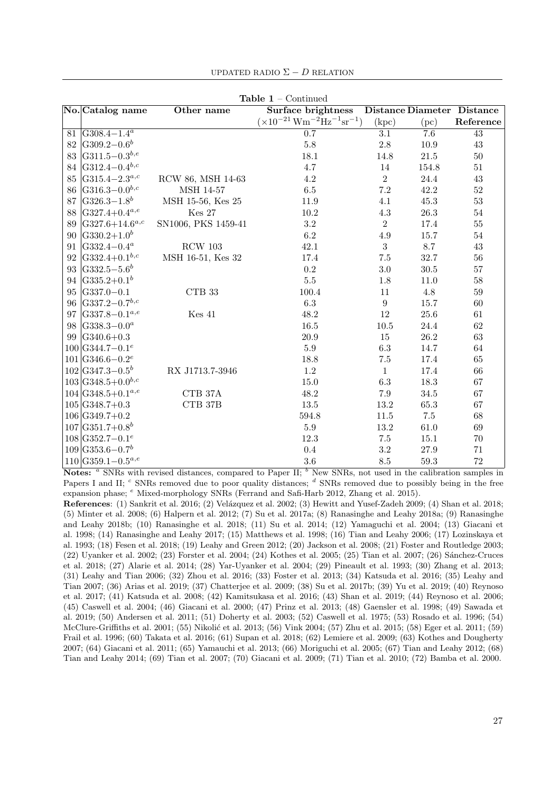|    |                               |                     | <b>Table 1</b> – Continued                             |                  |                  |                                   |
|----|-------------------------------|---------------------|--------------------------------------------------------|------------------|------------------|-----------------------------------|
|    | No. Catalog name              | Other name          | Surface brightness                                     |                  |                  | <b>Distance Diameter Distance</b> |
|    |                               |                     | $(\times 10^{-21} \,\mathrm{Wm^{-2} Hz^{-1} sr^{-1}})$ | (kpc)            | (pc)             | Reference                         |
|    | 81 $\sqrt{G308.4-1.4^a}$      |                     | $\overline{0.7}$                                       | $\overline{3.1}$ | $\overline{7.6}$ | $\overline{43}$                   |
| 82 | $ G309.2 - 0.6^b$             |                     | 5.8                                                    | $2.8\,$          | 10.9             | 43                                |
| 83 | $ G311.5 - 0.3^{b,e} $        |                     | $18.1\,$                                               | 14.8             | $21.5\,$         | $50\,$                            |
| 84 | $ G312.4 - 0.4^{b,c} $        |                     | 4.7                                                    | 14               | 154.8            | $51\,$                            |
| 85 | $ G315.4 - 2.3^{a,c} $        | RCW 86, MSH 14-63   | 4.2                                                    | $\overline{2}$   | 24.4             | $43\,$                            |
| 86 | $ G316.3 - 0.0^{b,c} $        | MSH 14-57           | $6.5\,$                                                | $7.2\,$          | 42.2             | $52\,$                            |
| 87 | $G326.3 - 1.8^b$              | MSH 15-56, Kes 25   | 11.9                                                   | 4.1              | 45.3             | $53\,$                            |
| 88 | $G327.4+0.4^{a,e}$            | Kes 27              | $10.2\,$                                               | $4.3\,$          | $26.3\,$         | $54\,$                            |
| 89 | $ G327.6+14.6^{a,c} $         | SN1006, PKS 1459-41 | $3.2\,$                                                | $\overline{2}$   | 17.4             | 55                                |
| 90 | $ G330.2+1.0^{b} $            |                     | 6.2                                                    | 4.9              | 15.7             | $54\,$                            |
| 91 | $ G332.4 - 0.4^a $            | $RCW$ 103           | 42.1                                                   | 3                | 8.7              | 43                                |
| 92 | $ G332.4+0.1^{b,c} $          | MSH 16-51, Kes 32   | 17.4                                                   | 7.5              | 32.7             | 56                                |
| 93 | $\rm G332.5 - 5.6^b$          |                     | $\rm 0.2$                                              | $3.0\,$          | $30.5\,$         | $57\,$                            |
|    | 94 $\vert G335.2+0.1^b$       |                     | $5.5\,$                                                | $1.8\,$          | 11.0             | 58                                |
| 95 | $G337.0 - 0.1$                | $CTB$ 33            | 100.4                                                  | 11               | $4.8\,$          | $59\,$                            |
| 96 | $ G337.2 - 0.7^{b,c} $        |                     | 6.3                                                    | $\boldsymbol{9}$ | 15.7             | 60                                |
| 97 | $G337.8 - 0.1^{a,e}$          | $Kes$ 41            | 48.2                                                   | 12               | 25.6             | 61                                |
| 98 | $ G338.3 - 0.0^a$             |                     | $16.5\,$                                               | $10.5\,$         | 24.4             | 62                                |
|    | 99 $ G340.6+0.3$              |                     | 20.9                                                   | 15               | $26.2\,$         | 63                                |
|    | $100 G344.7-0.1^e$            |                     | $5.9\,$                                                | $6.3\,$          | 14.7             | 64                                |
|    | $101 G346.6-0.2^e$            |                     | 18.8                                                   | $7.5\,$          | 17.4             | 65                                |
|    | $102 G347.3-0.5^{b}$          | RX J1713.7-3946     | 1.2                                                    | $\mathbf{1}$     | 17.4             | 66                                |
|    | $103 G348.5+0.0^{b,c}$        |                     | 15.0                                                   | $6.3\,$          | 18.3             | 67                                |
|    | $104 G348.5+0.1^{a,e}$        | CTB $37\mathrm{A}$  | 48.2                                                   | 7.9              | 34.5             | 67                                |
|    | $105 G348.7+0.3$              | CTB 37B             | 13.5                                                   | 13.2             | 65.3             | 67                                |
|    | $106 G349.7+0.2$              |                     | 594.8                                                  | 11.5             | $7.5\,$          | 68                                |
|    | $107 G351.7+0.8^b$            |                     | $5.9\,$                                                | 13.2             | $61.0\,$         | 69                                |
|    | $108$ G352.7-0.1 <sup>e</sup> |                     | 12.3                                                   | $7.5\,$          | 15.1             | 70                                |
|    | $109 G353.6-0.7b$             |                     | 0.4                                                    | $\!.2$           | $27.9\,$         | $71\,$                            |
|    | $110 G359.1-0.5^{a,e}$        |                     | $3.6\,$                                                | $\!\!\!\!\!8.5$  | $59.3\,$         | 72                                |

UPDATED RADIO  $\Sigma - D$  RELATION

Notes:  $a$  SNRs with revised distances, compared to Paper II;  $b$  New SNRs, not used in the calibration samples in Papers I and II;  $c$  SNRs removed due to poor quality distances;  $d$  SNRs removed due to possibly being in the free expansion phase;  $e$  Mixed-morphology SNRs (Ferrand and Safi-Harb 2012, Zhang et al. 2015).

References: (1) Sankrit et al. 2016; (2) Velázquez et al. 2002; (3) Hewitt and Yusef-Zadeh 2009; (4) Shan et al. 2018; (5) Minter et al. 2008; (6) Halpern et al. 2012; (7) Su et al. 2017a; (8) Ranasinghe and Leahy 2018a; (9) Ranasinghe and Leahy 2018b; (10) Ranasinghe et al. 2018; (11) Su et al. 2014; (12) Yamaguchi et al. 2004; (13) Giacani et al. 1998; (14) Ranasinghe and Leahy 2017; (15) Matthews et al. 1998; (16) Tian and Leahy 2006; (17) Lozinskaya et al. 1993; (18) Fesen et al. 2018; (19) Leahy and Green 2012; (20) Jackson et al. 2008; (21) Foster and Routledge 2003;  $(22)$  Uyanker et al. 2002;  $(23)$  Forster et al. 2004;  $(24)$  Kothes et al. 2005;  $(25)$  Tian et al. 2007;  $(26)$  Sánchez-Cruces et al. 2018; (27) Alarie et al. 2014; (28) Yar-Uyanker et al. 2004; (29) Pineault et al. 1993; (30) Zhang et al. 2013; (31) Leahy and Tian 2006; (32) Zhou et al. 2016; (33) Foster et al. 2013; (34) Katsuda et al. 2016; (35) Leahy and Tian 2007; (36) Arias et al. 2019; (37) Chatterjee et al. 2009; (38) Su et al. 2017b; (39) Yu et al. 2019; (40) Reynoso et al. 2017; (41) Katsuda et al. 2008; (42) Kamitsukasa et al. 2016; (43) Shan et al. 2019; (44) Reynoso et al. 2006; (45) Caswell et al. 2004; (46) Giacani et al. 2000; (47) Prinz et al. 2013; (48) Gaensler et al. 1998; (49) Sawada et al. 2019; (50) Andersen et al. 2011; (51) Doherty et al. 2003; (52) Caswell et al. 1975; (53) Rosado et al. 1996; (54) McClure-Griffiths et al. 2001; (55) Nikolić et al. 2013; (56) Vink 2004; (57) Zhu et al. 2015; (58) Eger et al. 2011; (59) Frail et al. 1996; (60) Takata et al. 2016; (61) Supan et al. 2018; (62) Lemiere et al. 2009; (63) Kothes and Dougherty 2007; (64) Giacani et al. 2011; (65) Yamauchi et al. 2013; (66) Moriguchi et al. 2005; (67) Tian and Leahy 2012; (68) Tian and Leahy 2014; (69) Tian et al. 2007; (70) Giacani et al. 2009; (71) Tian et al. 2010; (72) Bamba et al. 2000.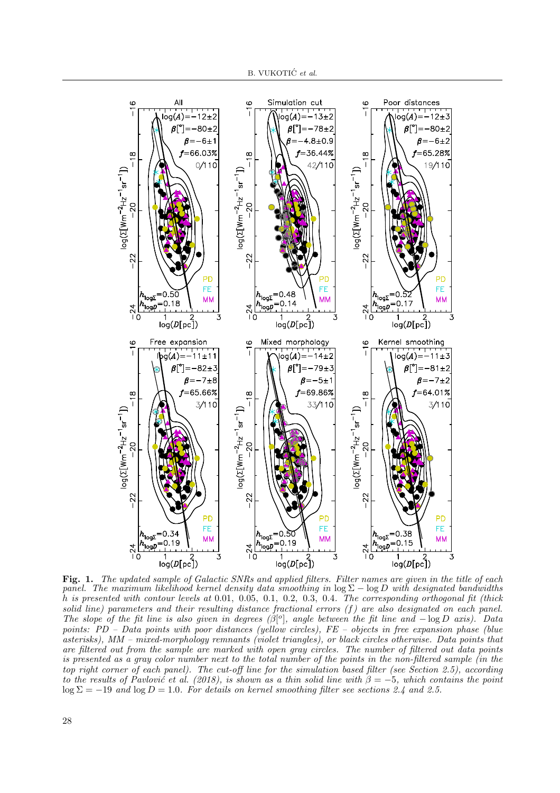

Fig. 1. The updated sample of Galactic SNRs and applied filters. Filter names are given in the title of each panel. The maximum likelihood kernel density data smoothing in  $\log \Sigma - \log D$  with designated bandwidths h is presented with contour levels at 0.01, 0.05, 0.1, 0.2, 0.3, 0.4. The corresponding orthogonal fit (thick solid line) parameters and their resulting distance fractional errors  $(f)$  are also designated on each panel. The slope of the fit line is also given in degrees  $(\beta^{\circ}]$ , angle between the fit line and  $-\log D$  axis). Data points: PD – Data points with poor distances (yellow circles), FE – objects in free expansion phase (blue asterisks), MM – mixed-morphology remnants (violet triangles), or black circles otherwise. Data points that are filtered out from the sample are marked with open gray circles. The number of filtered out data points is presented as a gray color number next to the total number of the points in the non-filtered sample (in the top right corner of each panel). The cut-off line for the simulation based filter (see Section 2.5), according to the results of Pavlovic et al. (2018), is shown as a thin solid line with  $\beta = -5$ , which contains the point  $\log \Sigma = -19$  and  $\log D = 1.0$ . For details on kernel smoothing filter see sections 2.4 and 2.5.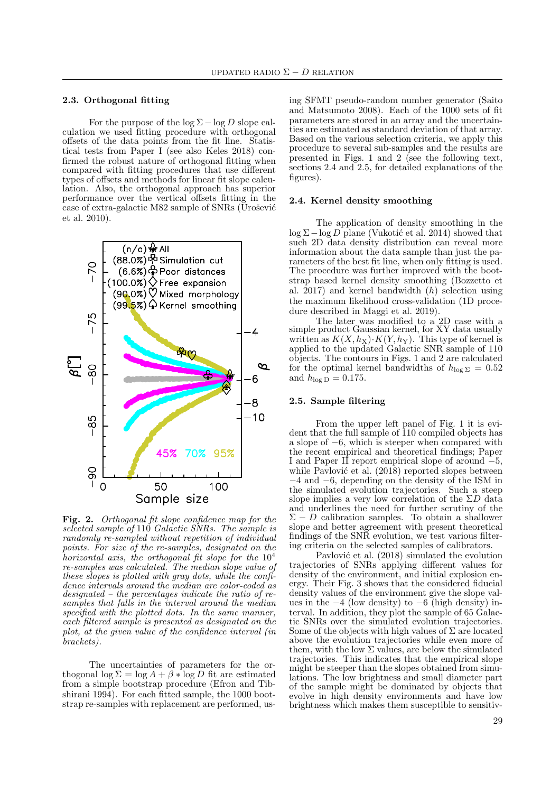## 2.3. Orthogonal fitting

For the purpose of the  $\log \Sigma - \log D$  slope calculation we used fitting procedure with orthogonal offsets of the data points from the fit line. Statistical tests from Paper I (see also Keles 2018) confirmed the robust nature of orthogonal fitting when compared with fitting procedures that use different types of offsets and methods for linear fit slope calculation. Also, the orthogonal approach has superior performance over the vertical offsets fitting in the case of extra-galactic M82 sample of SNRs (Urošević et al. 2010).



Fig. 2. Orthogonal fit slope confidence map for the selected sample of 110 Galactic SNRs. The sample is randomly re-sampled without repetition of individual points. For size of the re-samples, designated on the horizontal axis, the orthogonal fit slope for the  $10^4$ re-samples was calculated. The median slope value of these slopes is plotted with gray dots, while the confidence intervals around the median are color-coded as designated – the percentages indicate the ratio of resamples that falls in the interval around the median specified with the plotted dots. In the same manner, each filtered sample is presented as designated on the plot, at the given value of the confidence interval (in brackets).

The uncertainties of parameters for the orthogonal  $\log \Sigma = \log A + \beta * \log D$  fit are estimated from a simple bootstrap procedure (Efron and Tibshirani 1994). For each fitted sample, the 1000 bootstrap re-samples with replacement are performed, us-

ing SFMT pseudo-random number generator (Saito and Matsumoto 2008). Each of the 1000 sets of fit parameters are stored in an array and the uncertainties are estimated as standard deviation of that array. Based on the various selection criteria, we apply this procedure to several sub-samples and the results are presented in Figs. 1 and 2 (see the following text, sections 2.4 and 2.5, for detailed explanations of the figures).

## 2.4. Kernel density smoothing

The application of density smoothing in the  $\log \Sigma - \log D$  plane (Vukotić et al. 2014) showed that such 2D data density distribution can reveal more information about the data sample than just the parameters of the best fit line, when only fitting is used. The procedure was further improved with the bootstrap based kernel density smoothing (Bozzetto et al.  $2017$ ) and kernel bandwidth (h) selection using the maximum likelihood cross-validation (1D procedure described in Maggi et al. 2019).

The later was modified to a 2D case with a simple product Gaussian kernel, for XY data usually written as  $K(X, h_X) \cdot K(Y, h_Y)$ . This type of kernel is applied to the updated Galactic SNR sample of 110 objects. The contours in Figs. 1 and 2 are calculated for the optimal kernel bandwidths of  $h_{\log \Sigma} = 0.52$ and  $h_{\log D} = 0.175$ .

#### 2.5. Sample filtering

From the upper left panel of Fig. 1 it is evident that the full sample of 110 compiled objects has a slope of −6, which is steeper when compared with the recent empirical and theoretical findings; Paper I and Paper II report empirical slope of around −5, while Pavlović et al. (2018) reported slopes between −4 and −6, depending on the density of the ISM in the simulated evolution trajectories. Such a steep slope implies a very low correlation of the  $\Sigma D$  data and underlines the need for further scrutiny of the  $\Sigma - D$  calibration samples. To obtain a shallower slope and better agreement with present theoretical findings of the SNR evolution, we test various filtering criteria on the selected samples of calibrators.

Pavlović et al. (2018) simulated the evolution trajectories of SNRs applying different values for density of the environment, and initial explosion energy. Their Fig. 3 shows that the considered fiducial density values of the environment give the slope values in the  $-4$  (low density) to  $-6$  (high density) interval. In addition, they plot the sample of 65 Galactic SNRs over the simulated evolution trajectories. Some of the objects with high values of  $\Sigma$  are located above the evolution trajectories while even more of them, with the low  $\Sigma$  values, are below the simulated trajectories. This indicates that the empirical slope might be steeper than the slopes obtained from simulations. The low brightness and small diameter part of the sample might be dominated by objects that evolve in high density environments and have low brightness which makes them susceptible to sensitiv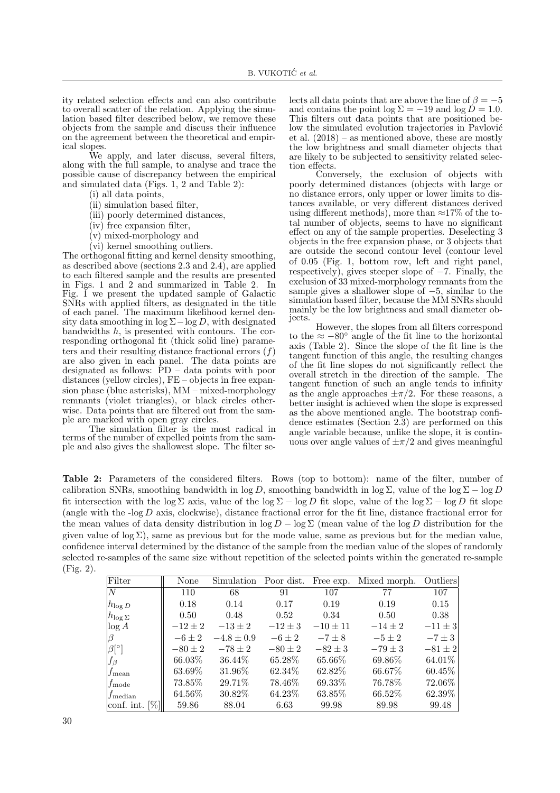ity related selection effects and can also contribute to overall scatter of the relation. Applying the simulation based filter described below, we remove these objects from the sample and discuss their influence on the agreement between the theoretical and empirical slopes.

We apply, and later discuss, several filters, along with the full sample, to analyse and trace the possible cause of discrepancy between the empirical and simulated data (Figs. 1, 2 and Table 2):

- (i) all data points,
- (ii) simulation based filter,
- (iii) poorly determined distances,
- (iv) free expansion filter,
- (v) mixed-morphology and
- (vi) kernel smoothing outliers.

The orthogonal fitting and kernel density smoothing, as described above (sections 2.3 and 2.4), are applied to each filtered sample and the results are presented in Figs. 1 and 2 and summarized in Table 2. In Fig.  $\tilde{I}$  we present the updated sample of Galactic SNRs with applied filters, as designated in the title of each panel. The maximum likelihood kernel density data smoothing in  $\log \Sigma - \log D$ , with designated bandwidths  $h$ , is presented with contours. The corresponding orthogonal fit (thick solid line) parameters and their resulting distance fractional errors  $(f)$ are also given in each panel. The data points are designated as follows: PD – data points with poor distances (yellow circles), FE – objects in free expansion phase (blue asterisks), MM – mixed-morphology remnants (violet triangles), or black circles otherwise. Data points that are filtered out from the sample are marked with open gray circles.

The simulation filter is the most radical in terms of the number of expelled points from the sample and also gives the shallowest slope. The filter se-

lects all data points that are above the line of  $\beta = -5$ and contains the point  $\log \Sigma = -19$  and  $\log D = 1.0$ . This filters out data points that are positioned below the simulated evolution trajectories in Pavlović et al. (2018) – as mentioned above, these are mostly the low brightness and small diameter objects that are likely to be subjected to sensitivity related selection effects.

Conversely, the exclusion of objects with poorly determined distances (objects with large or no distance errors, only upper or lower limits to distances available, or very different distances derived using different methods), more than  $\approx 17\%$  of the total number of objects, seems to have no significant effect on any of the sample properties. Deselecting 3 objects in the free expansion phase, or 3 objects that are outside the second contour level (contour level of 0.05 (Fig. 1, bottom row, left and right panel, respectively), gives steeper slope of −7. Finally, the exclusion of 33 mixed-morphology remnants from the sample gives a shallower slope of  $-5$ , similar to the simulation based filter, because the MM SNRs should mainly be the low brightness and small diameter objects.

However, the slopes from all filters correspond to the  $\approx -80^{\circ}$  angle of the fit line to the horizontal axis (Table 2). Since the slope of the fit line is the tangent function of this angle, the resulting changes of the fit line slopes do not significantly reflect the overall stretch in the direction of the sample. The tangent function of such an angle tends to infinity as the angle approaches  $\pm \pi/2$ . For these reasons, a better insight is achieved when the slope is expressed as the above mentioned angle. The bootstrap confidence estimates (Section 2.3) are performed on this angle variable because, unlike the slope, it is continuous over angle values of  $\pm \pi/2$  and gives meaningful

Table 2: Parameters of the considered filters. Rows (top to bottom): name of the filter, number of calibration SNRs, smoothing bandwidth in log D, smoothing bandwidth in log  $\Sigma$ , value of the log  $\Sigma - \log D$ fit intersection with the log  $\Sigma$  axis, value of the log  $\Sigma$  – log D fit slope, value of the log  $\Sigma$  – log D fit slope (angle with the -log  $D$  axis, clockwise), distance fractional error for the fit line, distance fractional error for the mean values of data density distribution in  $\log D - \log \Sigma$  (mean value of the  $\log D$  distribution for the given value of  $\log \Sigma$ ), same as previous but for the mode value, same as previous but for the median value, confidence interval determined by the distance of the sample from the median value of the slopes of randomly selected re-samples of the same size without repetition of the selected points within the generated re-sample (Fig. 2).

| Filter                         | None        | Simulation     | Poor dist.  | Free exp.    | Mixed morph. | Outliers    |
|--------------------------------|-------------|----------------|-------------|--------------|--------------|-------------|
| N                              | 110         | 68             | 91          | 107          | 77           | 107         |
| $h_{\log D}$                   | 0.18        | 0.14           | 0.17        | 0.19         | 0.19         | 0.15        |
| $ h_{\log \Sigma} $            | 0.50        | 0.48           | 0.52        | 0.34         | 0.50         | 0.38        |
| log A                          | $-12 \pm 2$ | $-13 \pm 2$    | $-12 \pm 3$ | $-10 \pm 11$ | $-14 \pm 2$  | $-11 \pm 3$ |
|                                | $-6\pm 2$   | $-4.8 \pm 0.9$ | $-6 \pm 2$  | $-7 \pm 8$   | $-5\pm 2$    | $-7 \pm 3$  |
| $\beta$ [°]                    | $-80 \pm 2$ | $-78 \pm 2$    | $-80 \pm 2$ | $-82 \pm 3$  | $-79 \pm 3$  | $-81 \pm 2$ |
| fβ                             | 66.03%      | 36.44\%        | 65.28\%     | 65.66%       | 69.86\%      | 64.01%      |
| $f_{\rm mean}$                 | $63.69\%$   | 31.96\%        | 62.34\%     | 62.82\%      | 66.67\%      | $60.45\%$   |
| $f_{\rm mode}$                 | 73.85%      | 29.71\%        | 78.46\%     | 69.33%       | 76.78%       | 72.06\%     |
| $f_{\rm median}$               | $64.56\%$   | 30.82\%        | 64.23\%     | 63.85%       | 66.52\%      | 62.39%      |
| conf. int. $\lbrack\%]\rbrack$ | 59.86       | 88.04          | 6.63        | 99.98        | 89.98        | 99.48       |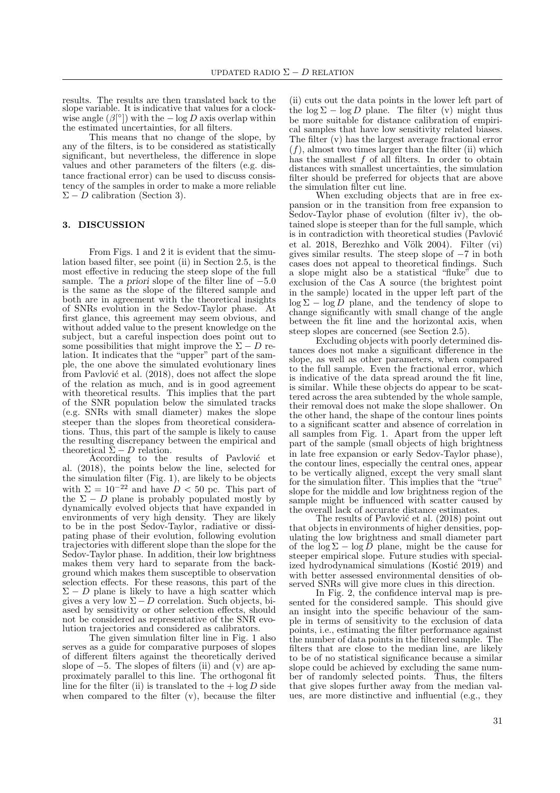results. The results are then translated back to the slope variable. It is indicative that values for a clockwise angle  $(\beta^{\circ})$  with the  $-\log D$  axis overlap within the estimated uncertainties, for all filters.

This means that no change of the slope, by any of the filters, is to be considered as statistically significant, but nevertheless, the difference in slope values and other parameters of the filters (e.g. distance fractional error) can be used to discuss consistency of the samples in order to make a more reliable  $\Sigma - D$  calibration (Section 3).

## 3. DISCUSSION

From Figs. 1 and 2 it is evident that the simulation based filter, see point (ii) in Section 2.5, is the most effective in reducing the steep slope of the full sample. The a priori slope of the filter line of −5.0 is the same as the slope of the filtered sample and both are in agreement with the theoretical insights of SNRs evolution in the Sedov-Taylor phase. At first glance, this agreement may seem obvious, and without added value to the present knowledge on the subject, but a careful inspection does point out to some possibilities that might improve the  $\Sigma - D$  relation. It indicates that the "upper" part of the sample, the one above the simulated evolutionary lines from Pavlović et al.  $(2018)$ , does not affect the slope of the relation as much, and is in good agreement with theoretical results. This implies that the part of the SNR population below the simulated tracks (e.g. SNRs with small diameter) makes the slope steeper than the slopes from theoretical considerations. Thus, this part of the sample is likely to cause the resulting discrepancy between the empirical and theoretical  $\Sigma - D$  relation.

According to the results of Pavlović et al. (2018), the points below the line, selected for the simulation filter (Fig. 1), are likely to be objects with  $\Sigma = 10^{-22}$  and have  $D < 50$  pc. This part of the  $\Sigma - D$  plane is probably populated mostly by dynamically evolved objects that have expanded in environments of very high density. They are likely to be in the post Sedov-Taylor, radiative or dissipating phase of their evolution, following evolution trajectories with different slope than the slope for the Sedov-Taylor phase. In addition, their low brightness makes them very hard to separate from the background which makes them susceptible to observation selection effects. For these reasons, this part of the  $\Sigma - D$  plane is likely to have a high scatter which gives a very low  $\Sigma - D$  correlation. Such objects, biased by sensitivity or other selection effects, should not be considered as representative of the SNR evolution trajectories and considered as calibrators.

The given simulation filter line in Fig. 1 also serves as a guide for comparative purposes of slopes of different filters against the theoretically derived slope of  $-5$ . The slopes of filters (ii) and (v) are approximately parallel to this line. The orthogonal fit line for the filter (ii) is translated to the  $+\log D$  side when compared to the filter (v), because the filter

(ii) cuts out the data points in the lower left part of the  $\log \Sigma - \log D$  plane. The filter (v) might thus be more suitable for distance calibration of empirical samples that have low sensitivity related biases. The filter (v) has the largest average fractional error  $(f)$ , almost two times larger than the filter (ii) which has the smallest  $f$  of all filters. In order to obtain distances with smallest uncertainties, the simulation filter should be preferred for objects that are above the simulation filter cut line.

When excluding objects that are in free expansion or in the transition from free expansion to Sedov-Taylor phase of evolution (filter iv), the obtained slope is steeper than for the full sample, which is in contradiction with theoretical studies (Pavlović et al. 2018, Berezhko and Völk 2004). Filter (vi) gives similar results. The steep slope of −7 in both cases does not appeal to theoretical findings. Such a slope might also be a statistical "fluke" due to exclusion of the Cas A source (the brightest point in the sample) located in the upper left part of the  $\log \Sigma - \log D$  plane, and the tendency of slope to change significantly with small change of the angle between the fit line and the horizontal axis, when steep slopes are concerned (see Section 2.5).

Excluding objects with poorly determined distances does not make a significant difference in the slope, as well as other parameters, when compared to the full sample. Even the fractional error, which is indicative of the data spread around the fit line, is similar. While these objects do appear to be scattered across the area subtended by the whole sample, their removal does not make the slope shallower. On the other hand, the shape of the contour lines points to a significant scatter and absence of correlation in all samples from Fig. 1. Apart from the upper left part of the sample (small objects of high brightness in late free expansion or early Sedov-Taylor phase), the contour lines, especially the central ones, appear to be vertically aligned, except the very small slant for the simulation filter. This implies that the "true" slope for the middle and low brightness region of the sample might be influenced with scatter caused by the overall lack of accurate distance estimates.

The results of Pavlović et al. (2018) point out that objects in environments of higher densities, populating the low brightness and small diameter part of the  $\log \Sigma - \log \bar{D}$  plane, might be the cause for steeper empirical slope. Future studies with specialized hydrodynamical simulations (Kostić 2019) and with better assessed environmental densities of observed SNRs will give more clues in this direction.

In Fig. 2, the confidence interval map is presented for the considered sample. This should give an insight into the specific behaviour of the sample in terms of sensitivity to the exclusion of data points, i.e., estimating the filter performance against the number of data points in the filtered sample. The filters that are close to the median line, are likely to be of no statistical significance because a similar slope could be achieved by excluding the same number of randomly selected points. Thus, the filters that give slopes further away from the median values, are more distinctive and influential (e.g., they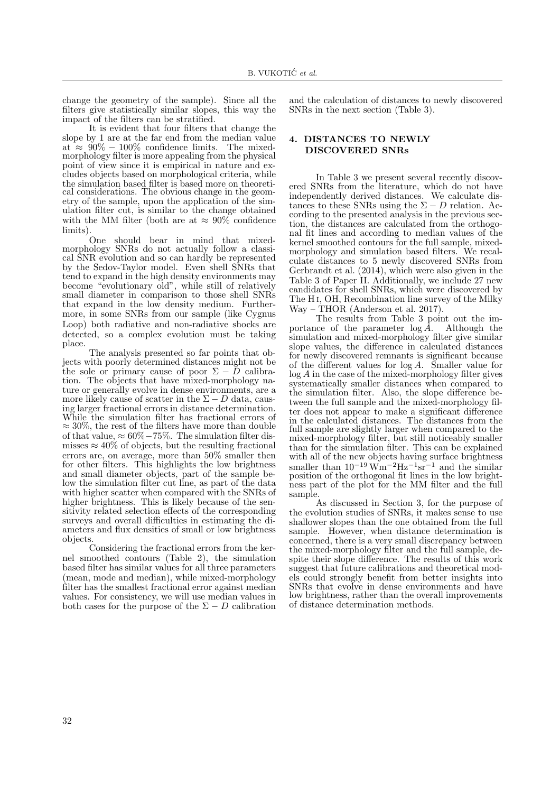change the geometry of the sample). Since all the filters give statistically similar slopes, this way the impact of the filters can be stratified.

It is evident that four filters that change the slope by 1 are at the far end from the median value at  $\approx 90\% - 100\%$  confidence limits. The mixedmorphology filter is more appealing from the physical point of view since it is empirical in nature and excludes objects based on morphological criteria, while the simulation based filter is based more on theoretical considerations. The obvious change in the geometry of the sample, upon the application of the simulation filter cut, is similar to the change obtained with the MM filter (both are at  $\approx 90\%$  confidence limits).

One should bear in mind that mixedmorphology SNRs do not actually follow a classical SNR evolution and so can hardly be represented by the Sedov-Taylor model. Even shell SNRs that tend to expand in the high density environments may become "evolutionary old", while still of relatively small diameter in comparison to those shell SNRs that expand in the low density medium. Furthermore, in some SNRs from our sample (like Cygnus Loop) both radiative and non-radiative shocks are detected, so a complex evolution must be taking place.

The analysis presented so far points that objects with poorly determined distances might not be the sole or primary cause of poor  $\Sigma - \bar{D}$  calibration. The objects that have mixed-morphology nature or generally evolve in dense environments, are a more likely cause of scatter in the  $\Sigma - D$  data, causing larger fractional errors in distance determination. While the simulation filter has fractional errors of  $\approx 30\%$ , the rest of the filters have more than double of that value,  $\approx 60\% - 75\%$ . The simulation filter dismisses  $\approx 40\%$  of objects, but the resulting fractional errors are, on average, more than 50% smaller then for other filters. This highlights the low brightness and small diameter objects, part of the sample below the simulation filter cut line, as part of the data with higher scatter when compared with the SNRs of higher brightness. This is likely because of the sensitivity related selection effects of the corresponding surveys and overall difficulties in estimating the diameters and flux densities of small or low brightness objects.

Considering the fractional errors from the kernel smoothed contours (Table 2), the simulation based filter has similar values for all three parameters (mean, mode and median), while mixed-morphology filter has the smallest fractional error against median values. For consistency, we will use median values in both cases for the purpose of the  $\Sigma - D$  calibration

and the calculation of distances to newly discovered SNRs in the next section (Table 3).

## 4. DISTANCES TO NEWLY DISCOVERED SNRs

In Table 3 we present several recently discovered SNRs from the literature, which do not have independently derived distances. We calculate distances to these SNRs using the  $\Sigma - D$  relation. According to the presented analysis in the previous section, the distances are calculated from the orthogonal fit lines and according to median values of the kernel smoothed contours for the full sample, mixedmorphology and simulation based filters. We recalculate distances to 5 newly discovered SNRs from Gerbrandt et al. (2014), which were also given in the Table 3 of Paper II. Additionally, we include 27 new candidates for shell SNRs, which were discovered by The H i, OH, Recombination line survey of the Milky Way – THOR (Anderson et al. 2017).

The results from Table 3 point out the im-<br>
ince of the parameter  $log A$ . Although the portance of the parameter  $\log \bar{A}$ . simulation and mixed-morphology filter give similar slope values, the difference in calculated distances for newly discovered remnants is significant because of the different values for  $log A$ . Smaller value for log A in the case of the mixed-morphology filter gives systematically smaller distances when compared to the simulation filter. Also, the slope difference between the full sample and the mixed-morphology filter does not appear to make a significant difference in the calculated distances. The distances from the full sample are slightly larger when compared to the mixed-morphology filter, but still noticeably smaller than for the simulation filter. This can be explained with all of the new objects having surface brightness smaller than  $10^{-19} \,\mathrm{Wm}^{-2} \mathrm{Hz}^{-1} \mathrm{sr}^{-1}$  and the similar position of the orthogonal fit lines in the low brightness part of the plot for the MM filter and the full sample.

As discussed in Section 3, for the purpose of the evolution studies of SNRs, it makes sense to use shallower slopes than the one obtained from the full sample. However, when distance determination is concerned, there is a very small discrepancy between the mixed-morphology filter and the full sample, despite their slope difference. The results of this work suggest that future calibrations and theoretical models could strongly benefit from better insights into SNRs that evolve in dense environments and have low brightness, rather than the overall improvements of distance determination methods.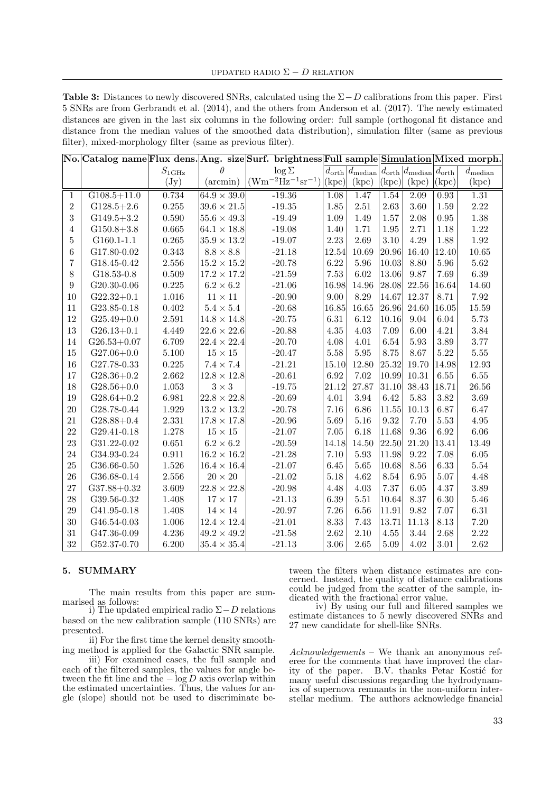UPDATED RADIO  $\Sigma - D$  RELATION

Table 3: Distances to newly discovered SNRs, calculated using the  $\Sigma - D$  calibrations from this paper. First 5 SNRs are from Gerbrandt et al. (2014), and the others from Anderson et al. (2017). The newly estimated distances are given in the last six columns in the following order: full sample (orthogonal fit distance and distance from the median values of the smoothed data distribution), simulation filter (same as previous filter), mixed-morphology filter (same as previous filter).

|                |                 |                   |                      | No. Catalog name Flux dens. Ang. size Surf. brightness Full sample Simulation Mixed morph. |                   |                                                                                        |                            |       |          |                  |
|----------------|-----------------|-------------------|----------------------|--------------------------------------------------------------------------------------------|-------------------|----------------------------------------------------------------------------------------|----------------------------|-------|----------|------------------|
|                |                 | $S_{1\text{GHz}}$ | Ĥ                    | $\log \Sigma$                                                                              |                   | $d_{\text{orth}} d_{\text{median}} d_{\text{orth}} d_{\text{median}} d_{\text{orth}} $ |                            |       |          | $d_{\rm median}$ |
|                |                 | $(\mathrm{Jy})$   | (aremin)             | $(Wm^{-2}Hz^{-1}sr^{-1}) (kpc) $                                                           |                   | (kpc)                                                                                  | $\vert\mathrm{(kpc)}\vert$ | (kpc) | (kpc)    | (kpc)            |
| $\mathbf{1}$   | $G108.5 + 11.0$ | 0.734             | $64.9 \times 39.0$   | $-19.36$                                                                                   | $\overline{1.08}$ | 1.47                                                                                   | 1.54                       | 2.09  | 0.93     | 1.31             |
| $\overline{2}$ | $G128.5+2.6$    | $0.255\,$         | $39.6 \times 21.5$   | $-19.35$                                                                                   | 1.85              | 2.51                                                                                   | 2.63                       | 3.60  | 1.59     | 2.22             |
| 3              | $G149.5+3.2$    | 0.590             | $ 55.6 \times 49.3 $ | $-19.49$                                                                                   | 1.09              | 1.49                                                                                   | 1.57                       | 2.08  | $0.95\,$ | 1.38             |
| $\overline{4}$ | $G150.8+3.8$    | 0.665             | $64.1 \times 18.8$   | $-19.08$                                                                                   | 1.40              | 1.71                                                                                   | 1.95                       | 2.71  | 1.18     | 1.22             |
| $\overline{5}$ | $G160.1 - 1.1$  | $0.265\,$         | $35.9\times13.2$     | $-19.07$                                                                                   | 2.23              | 2.69                                                                                   | 3.10                       | 4.29  | 1.88     | 1.92             |
| 6              | G17.80-0.02     | 0.343             | $8.8\times8.8$       | $\mbox{-}21.18$                                                                            | 12.54             | 10.69                                                                                  | 20.96                      | 16.40 | 12.40    | $10.65\,$        |
| $\overline{7}$ | G18.45-0.42     | $2.556\,$         | $15.2 \times 15.2$   | $-20.78$                                                                                   | 6.22              | 5.96                                                                                   | 10.03                      | 8.80  | 5.96     | 5.62             |
| 8              | G18.53-0.8      | $0.509\,$         | $17.2 \times 17.2$   | $-21.59$                                                                                   | 7.53              | 6.02                                                                                   | 13.06                      | 9.87  | 7.69     | 6.39             |
| 9              | $G20.30 - 0.06$ | $0.225\,$         | $6.2\times6.2$       | $-21.06$                                                                                   | 16.98             | 14.96                                                                                  | 28.08                      | 22.56 | 16.64    | 14.60            |
| 10             | $G22.32+0.1$    | $1.016\,$         | $11\times11$         | $-20.90$                                                                                   | 9.00              | $8.29\,$                                                                               | 14.67                      | 12.37 | 8.71     | 7.92             |
| 11             | G23.85-0.18     | $0.402\,$         | $5.4\times5.4$       | $-20.68$                                                                                   | 16.85             | 16.65                                                                                  | 26.96                      | 24.60 | 16.05    | 15.59            |
| 12             | $G25.49 + 0.0$  | 2.591             | $14.8 \times 14.8$   | $-20.75$                                                                                   | 6.31              | 6.12                                                                                   | 10.16                      | 9.04  | 6.04     | $5.73\,$         |
| 13             | $G26.13+0.1$    | 4.449             | $ 22.6 \times 22.6 $ | $-20.88$                                                                                   | 4.35              | 4.03                                                                                   | 7.09                       | 6.00  | 4.21     | 3.84             |
| 14             | $G26.53 + 0.07$ | 6.709             | $ 22.4 \times 22.4 $ | $-20.70$                                                                                   | 4.08              | 4.01                                                                                   | 6.54                       | 5.93  | 3.89     | 3.77             |
| 15             | $G27.06 + 0.0$  | 5.100             | $15\times15$         | $-20.47$                                                                                   | 5.58              | $5.95\,$                                                                               | 8.75                       | 8.67  | $5.22\,$ | 5.55             |
| 16             | G27.78-0.33     | 0.225             | $7.4 \times 7.4$     | $-21.21$                                                                                   | 15.10             | 12.80                                                                                  | 25.32                      | 19.70 | 14.98    | 12.93            |
| 17             | $G28.36 + 0.2$  | 2.662             | $12.8 \times 12.8$   | $-20.61$                                                                                   | 6.92              | 7.02                                                                                   | 10.99                      | 10.31 | 6.55     | 6.55             |
| 18             | $G28.56+0.0$    | $1.053\,$         | $3 \times 3$         | $-19.75$                                                                                   | 21.12             | 27.87                                                                                  | 31.10                      | 38.43 | 18.71    | $26.56\,$        |
| 19             | $G28.64 + 0.2$  | 6.981             | $ 22.8 \times 22.8 $ | $-20.69$                                                                                   | 4.01              | 3.94                                                                                   | 6.42                       | 5.83  | 3.82     | 3.69             |
| 20             | G28.78-0.44     | 1.929             | $13.2 \times 13.2$   | $-20.78$                                                                                   | 7.16              | 6.86                                                                                   | 11.55                      | 10.13 | 6.87     | 6.47             |
| 21             | $G28.88 + 0.4$  | 2.331             | $17.8 \times 17.8$   | $-20.96$                                                                                   | 5.69              | 5.16                                                                                   | 9.32                       | 7.70  | 5.53     | 4.95             |
| 22             | G29.41-0.18     | 1.278             | $15\times15$         | $-21.07$                                                                                   | 7.05              | 6.18                                                                                   | 11.68                      | 9.36  | 6.92     | 6.06             |
| 23             | G31.22-0.02     | 0.651             | $6.2\times6.2$       | $-20.59$                                                                                   | 14.18             | 14.50                                                                                  | 22.50                      | 21.20 | 13.41    | 13.49            |
| 24             | G34.93-0.24     | 0.911             | $16.2 \times 16.2$   | $-21.28$                                                                                   | 7.10              | 5.93                                                                                   | 11.98                      | 9.22  | 7.08     | $6.05\,$         |
| 25             | G36.66-0.50     | 1.526             | $16.4\times16.4$     | $-21.07$                                                                                   | 6.45              | 5.65                                                                                   | 10.68                      | 8.56  | 6.33     | 5.54             |
| 26             | G36.68-0.14     | 2.556             | $20\times20$         | $-21.02$                                                                                   | 5.18              | 4.62                                                                                   | 8.54                       | 6.95  | 5.07     | 4.48             |
| 27             | $G37.88 + 0.32$ | 3.609             | $22.8\times22.8$     | $-20.98$                                                                                   | 4.48              | 4.03                                                                                   | 7.37                       | 6.05  | 4.37     | 3.89             |
| 28             | G39.56-0.32     | 1.408             | $17\times17$         | $-21.13$                                                                                   | 6.39              | $5.51\,$                                                                               | 10.64                      | 8.37  | 6.30     | 5.46             |
| 29             | G41.95-0.18     | 1.408             | $14\times14$         | $-20.97$                                                                                   | 7.26              | 6.56                                                                                   | 11.91                      | 9.82  | 7.07     | $6.31\,$         |
| 30             | G46.54-0.03     | $1.006\,$         | $12.4 \times 12.4$   | $-21.01$                                                                                   | 8.33              | 7.43                                                                                   | 13.71                      | 11.13 | 8.13     | 7.20             |
| 31             | G47.36-0.09     | 4.236             | $49.2 \times 49.2$   | $-21.58$                                                                                   | 2.62              | 2.10                                                                                   | $4.55\,$                   | 3.44  | 2.68     | 2.22             |
| 32             | G52.37-0.70     | 6.200             | $35.4 \times 35.4$   | $-21.13$                                                                                   | $3.06\,$          | 2.65                                                                                   | 5.09                       | 4.02  | 3.01     | 2.62             |

# 5. SUMMARY

The main results from this paper are summarised as follows:

i) The updated empirical radio Σ−D relations based on the new calibration sample (110 SNRs) are presented.

ii) For the first time the kernel density smoothing method is applied for the Galactic SNR sample.

iii) For examined cases, the full sample and each of the filtered samples, the values for angle between the fit line and the  $-\log D$  axis overlap within the estimated uncertainties. Thus, the values for angle (slope) should not be used to discriminate be-

tween the filters when distance estimates are concerned. Instead, the quality of distance calibrations could be judged from the scatter of the sample, indicated with the fractional error value.

iv) By using our full and filtered samples we estimate distances to 5 newly discovered SNRs and 27 new candidate for shell-like SNRs.

Acknowledgements – We thank an anonymous referee for the comments that have improved the clarity of the paper. B.V. thanks Petar Kostić for many useful discussions regarding the hydrodynamics of supernova remnants in the non-uniform interstellar medium. The authors acknowledge financial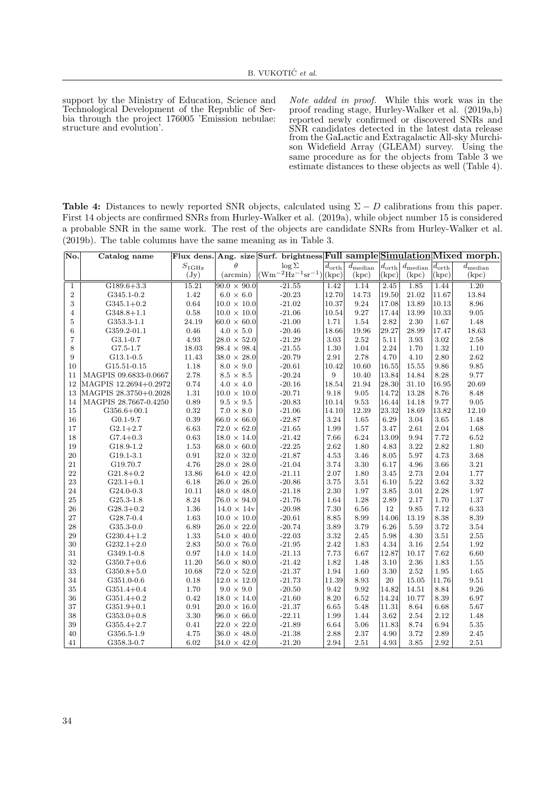support by the Ministry of Education, Science and Technological Development of the Republic of Serbia through the project 176005 'Emission nebulae: structure and evolution'.

Note added in proof. While this work was in the proof reading stage, Hurley-Walker et al. (2019a,b) reported newly confirmed or discovered SNRs and SNR candidates detected in the latest data release from the GaLactic and Extragalactic All-sky Murchison Widefield Array (GLEAM) survey. Using the same procedure as for the objects from Table 3 we estimate distances to these objects as well (Table 4).

Table 4: Distances to newly reported SNR objects, calculated using  $\Sigma - D$  calibrations from this paper. First 14 objects are confirmed SNRs from Hurley-Walker et al. (2019a), while object number 15 is considered a probable SNR in the same work. The rest of the objects are candidate SNRs from Hurley-Walker et al. (2019b). The table columns have the same meaning as in Table 3.

| No.            | Catalog name          |                 |                      | Flux dens. Ang. size Surf. brightness Full sample Simulation Mixed morph. |                           |                                  |          |                                                 |                           |                                  |
|----------------|-----------------------|-----------------|----------------------|---------------------------------------------------------------------------|---------------------------|----------------------------------|----------|-------------------------------------------------|---------------------------|----------------------------------|
|                |                       | $S_{\rm 1GHz}$  | $\theta$             | $\log \Sigma$                                                             | $\overline{d}_{\rm orth}$ | $\overline{d}_{\mathrm{median}}$ |          | $\left d_{\text{orth}}\right d_{\text{median}}$ | $\overline{d_{\rm orth}}$ | $\overline{d}_{\mathrm{median}}$ |
|                |                       | $(\mathrm{Jy})$ | $(\arcsin)$          | $(Wm^{-2}Hz^{-1}sr^{-1})$                                                 | (kpc)                     | (kpc)                            | (kpc)    | (kpc)                                           | (kpc)                     | (kpc)                            |
| $\mathbf{1}$   | $G189.6 + 3.3$        | 15.21           | $ 90.0 \times 90.0 $ | $-21.55$                                                                  | 1.42                      | 1.14                             | 2.45     | 1.85                                            | 1.44                      | 1.20                             |
| $\sqrt{2}$     | G345.1-0.2            | 1.42            | $6.0 \times 6.0$     | $-20.23$                                                                  | 12.70                     | 14.73                            | 19.50    | 21.02                                           | 11.67                     | 13.84                            |
| 3              | $G345.1+0.2$          | 0.64            | $ 10.0 \times 10.0 $ | $-21.02$                                                                  | 10.37                     | 9.24                             | 17.08    | 13.89                                           | 10.13                     | 8.96                             |
| $\overline{4}$ | $G348.8 + 1.1$        | 0.58            | $ 10.0 \times 10.0 $ | $-21.06$                                                                  | 10.54                     | 9.27                             | 17.44    | 13.99                                           | 10.33                     | $\ \, 9.05$                      |
| $\overline{5}$ | G353.3-1.1            | 24.19           | $60.0 \times 60.0$   | $-21.00$                                                                  | 1.71                      | 1.54                             | 2.82     | 2.30                                            | 1.67                      | 1.48                             |
| $\,6$          | G359.2-01.1           | 0.46            | $4.0\,\times\,5.0$   | $-20.46$                                                                  | 18.66                     | 19.96                            | 29.27    | 28.99                                           | 17.47                     | 18.63                            |
| $\overline{7}$ | $G3.1 - 0.7$          | 4.93            | $ 28.0 \times 52.0 $ | $-21.29$                                                                  | 3.03                      | 2.52                             | 5.11     | 3.93                                            | 3.02                      | 2.58                             |
| 8              | G7.5-1.7              | 18.03           | $ 98.4 \times 98.4$  | $-21.55$                                                                  | 1.30                      | 1.04                             | 2.24     | 1.70                                            | 1.32                      | 1.10                             |
| 9              | G13.1-0.5             | 11.43           | $38.0 \times 28.0$   | $-20.79$                                                                  | 2.91                      | 2.78                             | 4.70     | 4.10                                            | 2.80                      | $2.62\,$                         |
| 10             | G15.51-0.15           | 1.18            | $8.0 \times 9.0$     | $-20.61$                                                                  | 10.42                     | 10.60                            | 16.55    | 15.55                                           | 9.86                      | 9.85                             |
| 11             | MAGPIS 09.6833-0.0667 | 2.78            | $8.5\,\times\,8.5$   | $-20.24$                                                                  | 9                         | 10.40                            | 13.84    | 14.84                                           | 8.28                      | 9.77                             |
| 12             | MAGPIS 12.2694+0.2972 | 0.74            | $4.0 \times 4.0$     | $-20.16$                                                                  | 18.54                     | 21.94                            | 28.30    | 31.10                                           | 16.95                     | 20.69                            |
| 13             | MAGPIS 28.3750+0.2028 | 1.31            | $ 10.0 \times 10.0 $ | $-20.71$                                                                  | 9.18                      | 9.05                             | 14.72    | 13.28                                           | 8.76                      | 8.48                             |
| 14             | MAGPIS 28.7667-0.4250 | 0.89            | $9.5 \times 9.5$     | $-20.83$                                                                  | 10.14                     | 9.53                             | 16.44    | 14.18                                           | 9.77                      | 9.05                             |
| 15             | $G356.6 + 00.1$       | 0.32            | $7.0 \times 8.0$     | $-21.06$                                                                  | 14.10                     | 12.39                            | 23.32    | 18.69                                           | 13.82                     | 12.10                            |
| 16             | $G0.1 - 9.7$          | 0.39            | $66.0 \times 66.0$   | $-22.87$                                                                  | 3.24                      | 1.65                             | 6.29     | 3.04                                            | 3.65                      | 1.48                             |
| 17             | $G2.1+2.7$            | 6.63            | $ 72.0 \times 62.0$  | $-21.65$                                                                  | 1.99                      | 1.57                             | 3.47     | 2.61                                            | 2.04                      | 1.68                             |
| 18             | $G7.4 + 0.3$          | 0.63            | $18.0 \times 14.0$   | $-21.42$                                                                  | 7.66                      | 6.24                             | 13.09    | 9.94                                            | 7.72                      | 6.52                             |
| 19             | G18.9-1.2             | 1.53            | $68.0 \times 60.0$   | $-22.25$                                                                  | 2.62                      | 1.80                             | 4.83     | 3.22                                            | 2.82                      | $1.80\,$                         |
| 20             | G19.1-3.1             | 0.91            | $32.0 \times 32.0$   | $-21.87$                                                                  | 4.53                      | 3.46                             | 8.05     | 5.97                                            | 4.73                      | $3.68\,$                         |
| 21             | G19.70.7              | 4.76            | $ 28.0 \times 28.0 $ | $-21.04$                                                                  | 3.74                      | 3.30                             | 6.17     | 4.96                                            | 3.66                      | $3.21\,$                         |
| 22             | $G21.8 + 0.2$         | 13.86           | $64.0 \times 42.0$   | $-21.11$                                                                  | 2.07                      | 1.80                             | 3.45     | 2.73                                            | 2.04                      | 1.77                             |
| 23             | $G23.1 + 0.1$         | 6.18            | $ 26.0 \times 26.0 $ | $-20.86$                                                                  | 3.75                      | 3.51                             | 6.10     | 5.22                                            | 3.62                      | $\!3.32\!$                       |
| 24             | G24.0-0.3             | 10.11           | $48.0 \times 48.0$   | $-21.18$                                                                  | 2.30                      | 1.97                             | 3.85     | 3.01                                            | 2.28                      | 1.97                             |
| 25             | G25.3-1.8             | 8.24            | $ 76.0 \times 94.0 $ | $-21.76$                                                                  | 1.64                      | 1.28                             | 2.89     | 2.17                                            | 1.70                      | 1.37                             |
| 26             | $G28.3 + 0.2$         | 1.36            | $14.0 \times 14v$    | $-20.98$                                                                  | 7.30                      | 6.56                             | 12       | 9.85                                            | 7.12                      | 6.33                             |
| 27             | G28.7-0.4             | 1.63            | $10.0 \times 10.0$   | $-20.61$                                                                  | 8.85                      | 8.99                             | 14.06    | 13.19                                           | 8.38                      | 8.39                             |
| 28             | $G35.3 - 0.0$         | 6.89            | $ 26.0 \times 22.0$  | $-20.74$                                                                  | 3.89                      | 3.79                             | 6.26     | 5.59                                            | 3.72                      | $\!3.54$                         |
| 29             | $G230.4+1.2$          | 1.33            | $54.0 \times 40.0$   | $-22.03$                                                                  | 3.32                      | 2.45                             | 5.98     | 4.30                                            | 3.51                      | 2.55                             |
| 30             | $G232.1+2.0$          | 2.83            | $ 50.0 \times 76.0 $ | $-21.95$                                                                  | 2.42                      | 1.83                             | 4.34     | 3.16                                            | 2.54                      | 1.92                             |
| 31             | G349.1-0.8            | 0.97            | $14.0 \times 14.0$   | $-21.13$                                                                  | 7.73                      | 6.67                             | 12.87    | 10.17                                           | 7.62                      | 6.60                             |
| 32             | $G350.7+0.6$          | 11.20           | $56.0 \times 80.0$   | $-21.42$                                                                  | 1.82                      | 1.48                             | 3.10     | 2.36                                            | 1.83                      | 1.55                             |
| 33             | $G350.8 + 5.0$        | 10.68           | $ 72.0 \times 52.0 $ | $-21.37$                                                                  | 1.94                      | 1.60                             | $3.30\,$ | 2.52                                            | 1.95                      | 1.65                             |
| 34             | G351.0-0.6            | 0.18            | $12.0 \times 12.0$   | $-21.73$                                                                  | 11.39                     | 8.93                             | 20       | 15.05                                           | 11.76                     | 9.51                             |
| 35             | $G351.4+0.4$          | 1.70            | $9.0 \times 9.0$     | $-20.50$                                                                  | 9.42                      | 9.92                             | 14.82    | 14.51                                           | 8.84                      | $\,9.26$                         |
| 36             | $G351.4+0.2$          | 0.42            | $18.0 \times 14.0$   | $-21.60$                                                                  | 8.20                      | 6.52                             | 14.24    | 10.77                                           | 8.39                      | 6.97                             |
| 37             | $G351.9 + 0.1$        | 0.91            | $ 20.0 \times 16.0 $ | $-21.37$                                                                  | 6.65                      | 5.48                             | 11.31    | 8.64                                            | 6.68                      | 5.67                             |
| 38             | $G353.0 + 0.8$        | 3.30            | $ 96.0 \times 66.0 $ | $-22.11$                                                                  | 1.99                      | 1.44                             | 3.62     | 2.54                                            | 2.12                      | 1.48                             |
| 39             | $G355.4 + 2.7$        | 0.41            | $ 22.0 \times 22.0 $ | $-21.89$                                                                  | 6.64                      | 5.06                             | 11.83    | 8.74                                            | 6.94                      | $5.35\,$                         |
| 40             | G356.5-1.9            | 4.75            | $ 36.0 \times 48.0 $ | $-21.38$                                                                  | $2.88\,$                  | 2.37                             | 4.90     | 3.72                                            | $2.89\,$                  | 2.45                             |
| 41             | G358.3-0.7            | 6.02            | $ 34.0 \times 42.0 $ | $-21.20$                                                                  | 2.94                      | 2.51                             | 4.93     | 3.85                                            | 2.92                      | 2.51                             |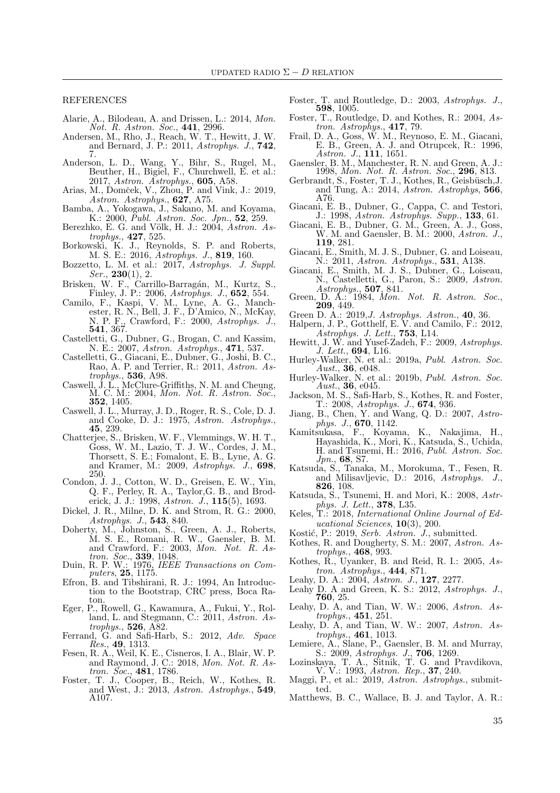REFERENCES

- Alarie, A., Bilodeau, A. and Drissen, L.: 2014, Mon. Not. R. Astron. Soc., 441, 2996.
- Andersen, M., Rho, J., Reach, W. T., Hewitt, J. W. and Bernard, J. P.: 2011,  $Astrophys.$  J.,  $742$ , 7.
- Anderson, L. D., Wang, Y., Bihr, S., Rugel, M., Beuther, H., Bigiel, F., Churchwell, E. et al.: 2017, Astron. Astrophys., 605, A58.
- Arias, M., Domček, V., Zhou, P. and Vink, J.: 2019, Astron. Astrophys., 627, A75.
- Bamba, A., Yokogawa, J., Sakano, M. and Koyama, K.: 2000, *Publ. Astron. Soc. Jpn.*, **52**, 259.
- Berezhko, E. G. and Völk, H. J.: 2004, Astron. Astrophys., 427, 525.
- Borkowski, K. J., Reynolds, S. P. and Roberts, M. S. E.: 2016, Astrophys. J., 819, 160.
- Bozzetto, L. M. et al.: 2017, Astrophys. J. Suppl.  $Ser., 230(1), 2.$
- Brisken, W. F., Carrillo-Barragán, M., Kurtz, S., Finley, J. P.: 2006, Astrophys. J., 652, 554.
- Camilo, F., Kaspi, V. M., Lyne, A. G., Manchester, R. N., Bell, J. F., D'Amico, N., McKay, N. P. F., Crawford, F.: 2000, Astrophys. J., 541, 367.
- Castelletti, G., Dubner, G., Brogan, C. and Kassim, N. E.: 2007, Astron. Astrophys., 471, 537.
- Castelletti, G., Giacani, E., Dubner, G., Joshi, B. C., Rao, A. P. and Terrier, R.: 2011, Astron. Astrophys., 536, A98.
- Caswell, J. L., McClure-Griffiths, N. M. and Cheung, M. C. M.: 2004, Mon. Not. R. Astron. Soc., 352, 1405.
- Caswell, J. L., Murray, J. D., Roger, R. S., Cole, D. J. and Cooke, D. J.: 1975, Astron. Astrophys., 45, 239.
- Chatterjee, S., Brisken, W. F., Vlemmings, W. H. T., Goss, W. M., Lazio, T. J. W., Cordes, J. M., Thorsett, S. E.; Fomalont, E. B., Lyne, A. G. and Kramer, M.: 2009, Astrophys. J., 698, 250.
- Condon, J. J., Cotton, W. D., Greisen, E. W., Yin, Q. F., Perley, R. A., Taylor,G. B., and Broderick, J. J.: 1998, Astron. J., **115**(5), 1693.
- Dickel, J. R., Milne, D. K. and Strom, R. G.: 2000, Astrophys. J., 543, 840.
- Doherty, M., Johnston, S., Green, A. J., Roberts, M. S. E., Romani, R. W., Gaensler, B. M. and Crawford, F.: 2003, Mon. Not. R. Astron. Soc., 339, 1048.
- Duin, R. P. W.: 1976, IEEE Transactions on Computers, 25, 1175.
- Efron, B. and Tibshirani, R. J.: 1994, An Introduction to the Bootstrap, CRC press, Boca Raton.
- Eger, P., Rowell, G., Kawamura, A., Fukui, Y., Rolland, L. and Stegmann, C.: 2011, Astron. Astrophys., **526**, A82.
- Ferrand, G. and Safi-Harb, S.: 2012, Adv. Space Res., 49, 1313.
- Fesen, R. A., Weil, K. E., Cisneros, I. A., Blair, W. P. and Raymond, J. C.: 2018, Mon. Not. R. Astron. Soc., 481, 1786.
- Foster, T. J., Cooper, B., Reich, W., Kothes, R. and West, J.: 2013, Astron. Astrophys., 549, A107.
- Foster, T. and Routledge, D.: 2003, Astrophys. J., 598, 1005.
- Foster, T., Routledge, D. and Kothes, R.: 2004, Astron. Astrophys., 417, 79.
- Frail, D. A., Goss, W. M., Reynoso, E. M., Giacani, E. B., Green, A. J. and Otrupcek, R.: 1996, Astron. J., 111, 1651.
- Gaensler, B. M., Manchester, R. N. and Green, A. J.: 1998, Mon. Not. R. Astron. Soc., 296, 813.
- Gerbrandt, S., Foster, T. J., Kothes, R., Geisbüsch, J. and Tung, A.: 2014, Astron. Astrophys, 566, A76.
- Giacani, E. B., Dubner, G., Cappa, C. and Testori, J.: 1998, Astron. Astrophys. Supp., 133, 61.
- Giacani, E. B., Dubner, G. M., Green, A. J., Goss, W. M. and Gaensler, B. M.: 2000, Astron. J., 119, 281.
- Giacani, E., Smith, M. J. S., Dubner, G. and Loiseau, N.: 2011, Astron. Astrophys., 531, A138.
- Giacani, E., Smith, M. J. S., Dubner, G., Loiseau, N., Castelletti, G., Paron, S.: 2009, Astron. Astrophys., 507, 841.
- Green, D. A.: 1984, Mon. Not. R. Astron. Soc., Green, D. A.:  $1209, 449$ .
- Green D. A.: 2019,J. Astrophys. Astron., 40, 36.
- Halpern, J. P., Gotthelf, E. V. and Camilo, F.: 2012, Astrophys. J. Lett., **753**, L14.
- Hewitt, J. W. and Yusef-Zadeh, F.: 2009, Astrophys. J. Lett., 694, L16.
- Hurley-Walker, N. et al.: 2019a, Publ. Astron. Soc. Aust.,  $36, e048$ .
- Hurley-Walker, N. et al.: 2019b, Publ. Astron. Soc. Aust., 36, e045.
- Jackson, M. S., Safi-Harb, S., Kothes, R. and Foster, T.: 2008, Astrophys. J., 674, 936.
- Jiang, B., Chen, Y. and Wang, Q. D.: 2007, Astrophys. J., 670, 1142.
- Kamitsukasa, F., Koyama, K., Nakajima, H., Hayashida, K., Mori, K., Katsuda, S., Uchida, H. and Tsunemi, H.: 2016, Publ. Astron. Soc. Jpn., 68, S7.
- Katsuda, S., Tanaka, M., Morokuma, T., Fesen, R. and Milisavljevic, D.: 2016, Astrophys. J., 826, 108.
- Katsuda, S., Tsunemi, H. and Mori, K.: 2008, Astrphys. J. Lett., 378, L35.
- Keles, T.: 2018, International Online Journal of Educational Sciences, 10(3), 200.
- Kostić, P.: 2019, Serb. Astron. J., submitted.
- Kothes, R. and Dougherty, S. M.: 2007, Astron. Astrophys., 468, 993.
- Kothes, R., Uyanker, B. and Reid, R. I.: 2005, Astron. Astrophys., 444, 871.
- Leahy, D. A.: 2004, Astron. J., **127**, 2277.
- Leahy D. A and Green, K. S.: 2012, Astrophys. J., 760, 25.
- Leahy, D. A, and Tian, W. W.: 2006, Astron. Astrophys., 451, 251.
- Leahy, D. A, and Tian, W. W.: 2007, Astron. Astrophys., 461, 1013.
- Lemiere, A., Slane, P., Gaensler, B. M. and Murray, S.: 2009, Astrophys. J., 706, 1269.
- Lozinskaya, T. A., Sitnik, T. G. and Pravdikova, V. V.: 1993, Astron. Rep., **37**, 240.
- Maggi, P., et al.: 2019, Astron. Astrophys., submitted.
- Matthews, B. C., Wallace, B. J. and Taylor, A. R.: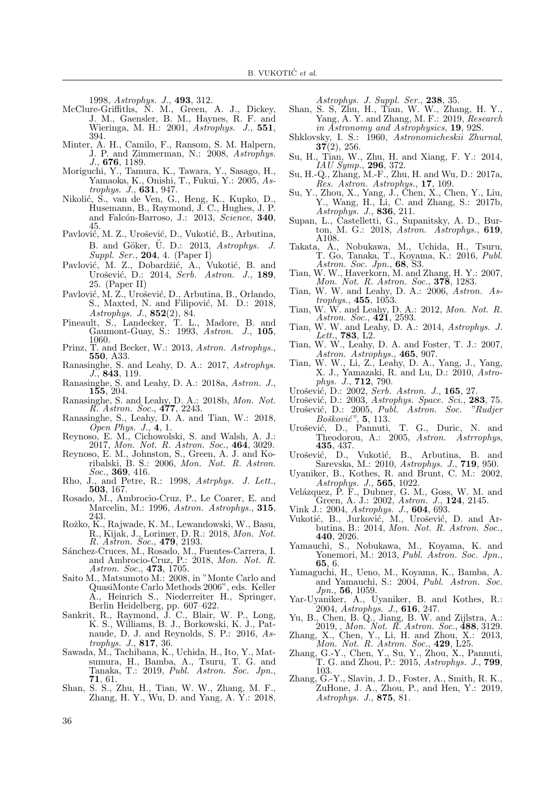1998, Astrophys. J., 493, 312.

- McClure-Griffiths, N. M., Green, A. J., Dickey, J. M., Gaensler, B. M., Haynes, R. F. and Wieringa, M. H.: 2001, Astrophys. J., 551, 394.
- Minter, A. H., Camilo, F., Ransom, S. M. Halpern, J. P. and Zimmerman, N.: 2008, Astrophys. J., 676, 1189.
- Moriguchi, Y., Tamura, K., Tawara, Y., Sasago, H., Yamaoka, K., Onishi, T., Fukui, Y.: 2005, Astrophys. J., 631, 947.
- Nikolić, S., van de Ven, G., Heng, K., Kupko, D., Husemann, B., Raymond, J. C., Hughes, J. P. and Falcón-Barroso, J.: 2013, Science, 340, 45.
- Pavlović, M. Z., Urošević, D., Vukotić, B., Arbutina, B. and Göker,  $\ddot{U}$ . D.: 2013, Astrophys. J. Suppl. Ser., 204, 4. (Paper I)
- Pavlović, M. Z., Dobardžić, A., Vukotić, B. and Urošević, D.: 2014, Serb. Astron. J., 189, 25. (Paper II)
- Pavlović, M. Z., Urošević, D., Arbutina, B., Orlando, S., Maxted, N. and Filipović, M. D.: 2018, Astrophys. J., 852(2), 84.
- Pineault, S., Landecker, T. L., Madore, B. and Gaumont-Guay, S.: 1993, Astron. J., 105, 1060.
- Prinz, T. and Becker, W.: 2013, Astron. Astrophys., 550, A33.
- Ranasinghe, S. and Leahy, D. A.: 2017, Astrophys.  $J., 843, 119.$
- Ranasinghe, S. and Leahy, D. A.: 2018a, Astron. J., 155, 204.
- Ranasinghe, S. and Leahy, D. A.: 2018b, Mon. Not. R. Astron. Soc., 477, 2243.
- Ranasinghe, S., Leahy, D. A. and Tian, W.: 2018, Open Phys. J., 4, 1.
- Reynoso, E. M., Cichowolski, S. and Walsh, A. J.: 2017, Mon. Not. R. Astron. Soc., 464, 3029.
- Reynoso, E. M., Johnston, S., Green, A. J. and Koribalski, B. S.: 2006, Mon. Not. R. Astron. Soc., 369, 416.
- Rho, J., and Petre, R.: 1998, Astrphys. J. Lett., 503, 167.
- Rosado, M., Ambrocio-Cruz, P., Le Coarer, E. and Marcelin, M.: 1996, Astron. Astrophys., 315, 243.
- Rożko, K., Rajwade, K. M., Lewandowski, W., Basu, R., Kijak, J., Lorimer, D. R.: 2018, Mon. Not. R. Astron. Soc., 479, 2193.
- Sánchez-Cruces, M., Rosado, M., Fuentes-Carrera, I. and Ambrocio-Cruz, P.: 2018, Mon. Not. R. Astron. Soc., 473, 1705.
- Saito M., Matsumoto M.: 2008, in "Monte Carlo and QuasiMonte Carlo Methods 2006", eds. Keller A., Heinrich S., Niederreiter H., Springer, Berlin Heidelberg, pp. 607–622.
- Sankrit, R., Raymond, J. C., Blair, W. P., Long, K. S., Williams, B. J., Borkowski, K. J., Patnaude, D. J. and Reynolds, S. P.: 2016, Astrophys. J., 817, 36.
- Sawada, M., Tachibana, K., Uchida, H., Ito, Y., Matsumura, H., Bamba, A., Tsuru, T. G. and Tanaka, T.: 2019, Publ. Astron. Soc. Jpn., 71, 61.
- Shan, S. S., Zhu, H., Tian, W. W., Zhang, M. F., Zhang, H. Y., Wu, D. and Yang, A. Y.: 2018.

Astrophys. J. Suppl. Ser., 238, 35.

- Shan, S. S, Zhu, H., Tian, W. W., Zhang, H. Y., Yang, A. Y. and Zhang, M. F.: 2019, Research in Astronomy and Astrophysics, 19, 92S.
- Shklovsky, I. S.: 1960, Astronomicheskii Zhurnal,  $37(2)$ , 256.
- Su, H., Tian, W., Zhu, H. and Xiang, F. Y.: 2014,  $IAU$  Symp., 296, 372.
- Su, H.-Q., Zhang, M.-F., Zhu, H. and Wu, D.: 2017a, Res. Astron. Astrophys., 17, 109.
- Su, Y., Zhou, X., Yang, J., Chen, X., Chen, Y., Liu, Y., Wang, H., Li, C. and Zhang, S.: 2017b, Astrophys. J., 836, 211.
- Supan, L., Castelletti, G., Supanitsky, A. D., Burton, M. G.: 2018, Astron. Astrophys., 619, A108.
- Takata, A., Nobukawa, M., Uchida, H., Tsuru, T. Go, Tanaka, T., Koyama, K.: 2016, Publ. Astron. Soc. Jpn., 68, S3.
- Tian, W. W., Haverkorn, M. and Zhang, H. Y.: 2007, Mon. Not. R. Astron. Soc., **378**, 1283.
- Tian, W. W. and Leahy, D. A.: 2006, Astron. Astrophys., 455, 1053.
- Tian, W. W. and Leahy, D. A.: 2012, Mon. Not. R. Astron. Soc.,  $421, 2593$ .
- Tian, W. W. and Leahy, D. A.: 2014, Astrophys. J.  $Lett., 783, L2.$
- Tian, W. W., Leahy, D. A. and Foster, T. J.: 2007, Astron. Astrophys., 465, 907.
- Tian, W. W., Li, Z., Leahy, D. A., Yang, J., Yang, X. J., Yamazaki, R. and Lu, D.: 2010, Astrophys. J., 712, 790.
- Urošević, D.: 2002, Serb. Astron. J., 165, 27.
- Urošević, D.: 2003, Astrophys. Space. Sci., 283, 75.
- Urošević, D.: 2005, Publ. Astron. Soc. "Rudjer  $Bošković", 5, 113.$
- Urošević, D., Pannuti, T. G., Duric, N. and Theodorou, A.: 2005, Astron. Astrophys, 435, 437.
- Urošević, D., Vukotić, B., Arbutina, B. and Sarevska, M.: 2010, Astrophys. J., 719, 950.
- Uyaniker, B., Kothes, R. and Brunt, C. M.: 2002, Astrophys. J., 565, 1022.
- Velázquez, P. F., Dubner, G. M., Goss, W. M. and Green, A. J.: 2002, Astron. J., 124, 2145.
- Vink J.: 2004, Astrophys. J., 604, 693.
- Vukotić, B., Jurković, M., Urošević, D. and Arbutina, B.: 2014, Mon. Not. R. Astron. Soc., 440, 2026.
- Yamauchi, S., Nobukawa, M., Koyama, K. and Yonemori, M.: 2013, *Publ. Astron. Soc. Jpn.*, 65, 6.
- Yamaguchi, H., Ueno, M., Koyama, K., Bamba, A. and Yamauchi, S.: 2004, Publ. Astron. Soc. Jpn., 56, 1059.
- Yar-Uyaniker, A., Uyaniker, B. and Kothes, R.: 2004, Astrophys. J., 616, 247.
- Yu, B., Chen, B. Q., Jiang, B. W. and Zijlstra, A.:  $2019,$ , Mon. Not. R. Astron. Soc., 488, 3129.
- Zhang, X., Chen, Y., Li, H. and Zhou, X.: 2013, Mon. Not. R. Astron. Soc.,  $429, L25$ .
- Zhang, G.-Y., Chen, Y., Su, Y., Zhou, X., Pannuti, T. G. and Zhou, P.: 2015, Astrophys. J., 799, 103.
- Zhang, G.-Y., Slavin, J. D., Foster, A., Smith, R. K., ZuHone, J. A., Zhou, P., and Hen, Y.: 2019, Astrophys. J., 875, 81.